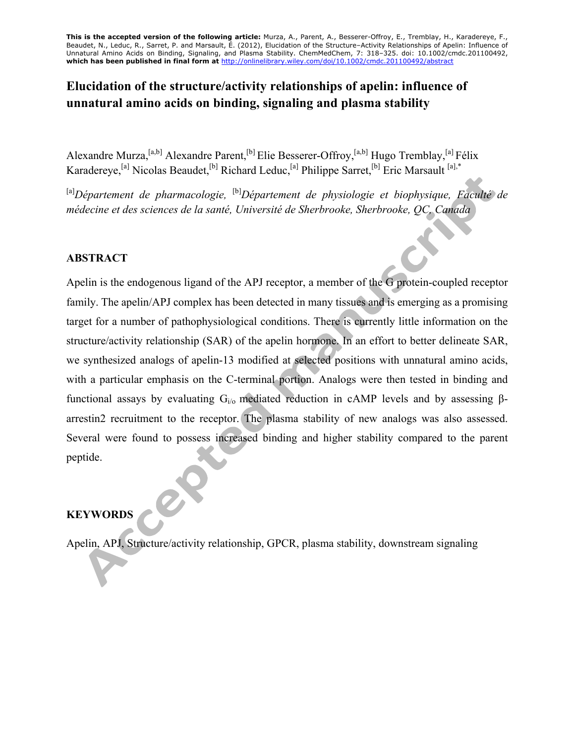**This is the accepted version of the following article:** Murza, A., Parent, A., Besserer-Offroy, E., Tremblay, H., Karadereye, F., Beaudet, N., Leduc, R., Sarret, P. and Marsault, É. (2012), Elucidation of the Structure–Activity Relationships of Apelin: Influence of Unnatural Amino Acids on Binding, Signaling, and Plasma Stability. ChemMedChem, 7: 318–325. doi: 10.1002/cmdc.201100492, **which has been published in final form at** http://onlinelibrary.wiley.com/doi/10.1002/cmdc.201100492/abstract

## **Elucidation of the structure/activity relationships of apelin: influence of unnatural amino acids on binding, signaling and plasma stability**

Alexandre Murza, <sup>[a,b]</sup> Alexandre Parent, <sup>[b]</sup> Elie Besserer-Offroy, <sup>[a,b]</sup> Hugo Tremblay, <sup>[a]</sup> Félix Karadereye,<sup>[a]</sup> Nicolas Beaudet,<sup>[b]</sup> Richard Leduc,<sup>[a]</sup> Philippe Sarret,<sup>[b]</sup> Eric Marsault<sup>[a],\*</sup>

<sup>[a]</sup>Département de pharmacologie, <sup>[b]</sup>Département de physiologie et biophysique, Faculté de *médecine et des sciences de la santé, Université de Sherbrooke, Sherbrooke, QC, Canada*

### **ABSTRACT**

Apelin is the endogenous ligand of the APJ receptor, a member of the G protein-coupled receptor family. The apelin/APJ complex has been detected in many tissues and is emerging as a promising target for a number of pathophysiological conditions. There is currently little information on the structure/activity relationship (SAR) of the apelin hormone. In an effort to better delineate SAR, we synthesized analogs of apelin-13 modified at selected positions with unnatural amino acids, with a particular emphasis on the C-terminal portion. Analogs were then tested in binding and functional assays by evaluating  $G<sub>i/0</sub>$  mediated reduction in cAMP levels and by assessing βarrestin2 recruitment to the receptor. The plasma stability of new analogs was also assessed. Several were found to possess increased binding and higher stability compared to the parent peptide.

### **KEYWORDS**

Apelin, APJ, Structure/activity relationship, GPCR, plasma stability, downstream signaling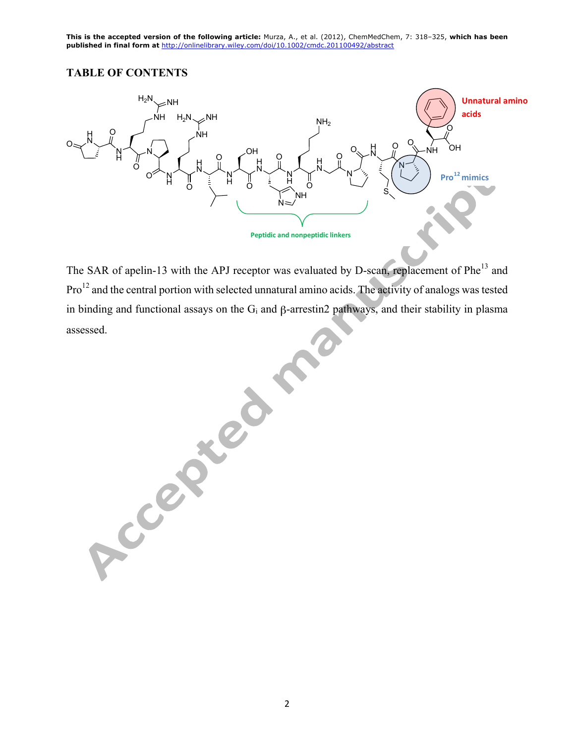### **TABLE OF CONTENTS**



The SAR of apelin-13 with the APJ receptor was evaluated by D-scan, replacement of Phe<sup>13</sup> and Pro<sup>12</sup> and the central portion with selected unnatural amino acids. The activity of analogs was tested in binding and functional assays on the Gi and β-arrestin2 pathways, and their stability in plasma assessed.

Accepted 1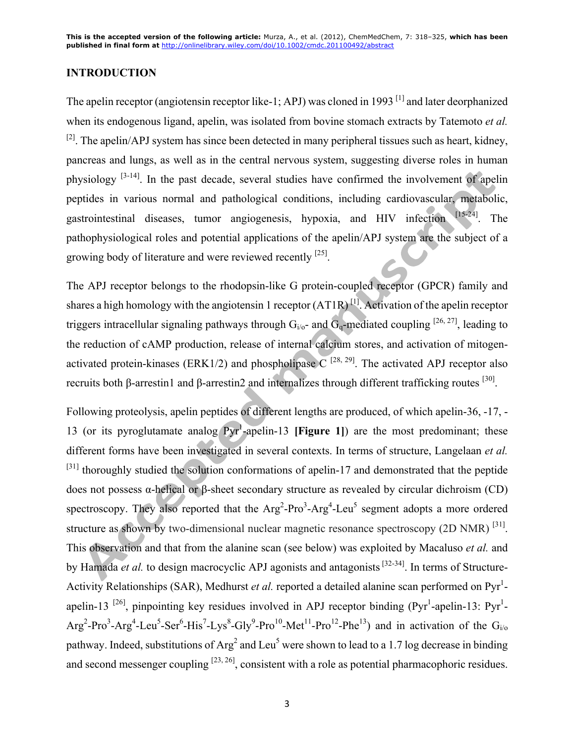#### **INTRODUCTION**

The apelin receptor (angiotensin receptor like-1; APJ) was cloned in 1993<sup>[1]</sup> and later deorphanized when its endogenous ligand, apelin, was isolated from bovine stomach extracts by Tatemoto *et al.*   $^{[2]}$ . The apelin/APJ system has since been detected in many peripheral tissues such as heart, kidney, pancreas and lungs, as well as in the central nervous system, suggesting diverse roles in human physiology  $[3-14]$ . In the past decade, several studies have confirmed the involvement of apelin peptides in various normal and pathological conditions, including cardiovascular, metabolic, gastrointestinal diseases, tumor angiogenesis, hypoxia, and HIV infection [15-24]. The pathophysiological roles and potential applications of the apelin/APJ system are the subject of a growing body of literature and were reviewed recently  $[25]$ .

The APJ receptor belongs to the rhodopsin-like G protein-coupled receptor (GPCR) family and shares a high homology with the angiotensin 1 receptor  $(AT1R)^{[1]}$ . Activation of the apelin receptor triggers intracellular signaling pathways through  $G_{i/\sigma}$ - and  $G_{\sigma}$ -mediated coupling [26, 27], leading to the reduction of cAMP production, release of internal calcium stores, and activation of mitogenactivated protein-kinases (ERK1/2) and phospholipase  $\overline{C}^{[28, 29]}$ . The activated APJ receptor also recruits both β-arrestin1 and β-arrestin2 and internalizes through different trafficking routes  $^{[30]}$ .

Following proteolysis, apelin peptides of different lengths are produced, of which apelin-36, -17, - 13 (or its pyroglutamate analog Pyr<sup>1</sup> -apelin-13 **[Figure 1]**) are the most predominant; these different forms have been investigated in several contexts. In terms of structure, Langelaan *et al.* <sup>[31]</sup> thoroughly studied the solution conformations of apelin-17 and demonstrated that the peptide does not possess α-helical or β-sheet secondary structure as revealed by circular dichroism (CD) spectroscopy. They also reported that the  $Arg^2$ -Pro<sup>3</sup>-Arg<sup>4</sup>-Leu<sup>5</sup> segment adopts a more ordered structure as shown by two-dimensional nuclear magnetic resonance spectroscopy (2D NMR)<sup>[31]</sup>. This observation and that from the alanine scan (see below) was exploited by Macaluso *et al.* and by Hamada *et al*. to design macrocyclic APJ agonists and antagonists<sup>[32-34]</sup>. In terms of Structure-Activity Relationships (SAR), Medhurst *et al.* reported a detailed alanine scan performed on Pyr<sup>1</sup>apelin-13<sup>[26]</sup>, pinpointing key residues involved in APJ receptor binding (Pyr<sup>1</sup>-apelin-13: Pyr<sup>1</sup>- $Arg<sup>2</sup>-Pro<sup>3</sup>-Arg<sup>4</sup>-Leu<sup>5</sup>-Ser<sup>6</sup>-His<sup>7</sup>-Lys<sup>8</sup>-Gly<sup>9</sup>-Pro<sup>10</sup>-Met<sup>11</sup>-Pro<sup>12</sup>-Phe<sup>13</sup>)$  and in activation of the G<sub>i/o</sub> pathway. Indeed, substitutions of  $Arg<sup>2</sup>$  and Leu<sup>5</sup> were shown to lead to a 1.7 log decrease in binding and second messenger coupling  $[23, 26]$ , consistent with a role as potential pharmacophoric residues.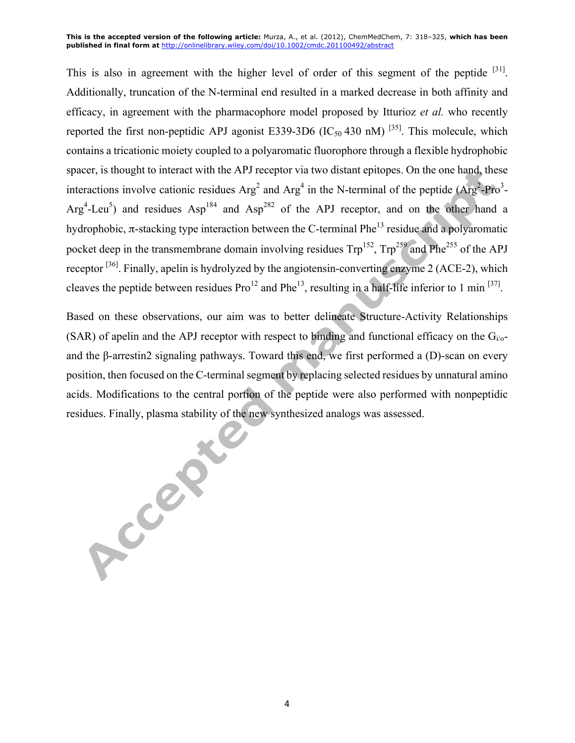This is also in agreement with the higher level of order of this segment of the peptide  $[31]$ . Additionally, truncation of the N-terminal end resulted in a marked decrease in both affinity and efficacy, in agreement with the pharmacophore model proposed by Itturioz *et al.* who recently reported the first non-peptidic APJ agonist E339-3D6 ( $IC_{50}$  430 nM) <sup>[35]</sup>. This molecule, which contains a tricationic moiety coupled to a polyaromatic fluorophore through a flexible hydrophobic spacer, is thought to interact with the APJ receptor via two distant epitopes. On the one hand, these interactions involve cationic residues  $Arg<sup>2</sup>$  and  $Arg<sup>4</sup>$  in the N-terminal of the peptide ( $Arg<sup>2</sup>$ -Pro<sup>3</sup>-Arg<sup>4</sup>-Leu<sup>5</sup>) and residues Asp<sup>184</sup> and Asp<sup>282</sup> of the APJ receptor, and on the other hand a hydrophobic,  $\pi$ -stacking type interaction between the C-terminal Phe<sup>13</sup> residue and a polyaromatic pocket deep in the transmembrane domain involving residues  $Trp^{152}$ ,  $Trp^{259}$  and Phe<sup>255</sup> of the APJ receptor  $^{[36]}$ . Finally, apelin is hydrolyzed by the angiotensin-converting enzyme 2 (ACE-2), which cleaves the peptide between residues  $Pro^{12}$  and  $Phe^{13}$ , resulting in a half-life inferior to 1 min  $^{[37]}$ .

Based on these observations, our aim was to better delineate Structure-Activity Relationships (SAR) of apelin and the APJ receptor with respect to binding and functional efficacy on the  $G_i/_{0}$ and the β-arrestin2 signaling pathways. Toward this end, we first performed a (D)-scan on every position, then focused on the C-terminal segment by replacing selected residues by unnatural amino acids. Modifications to the central portion of the peptide were also performed with nonpeptidic

residues. Finally, plasma stability of the new synthesized analogs was assessed.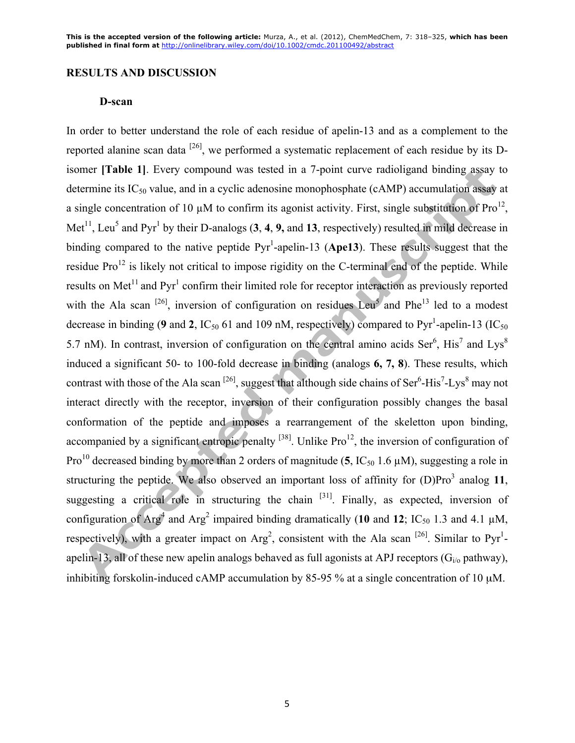#### **RESULTS AND DISCUSSION**

#### **D-scan**

In order to better understand the role of each residue of apelin-13 and as a complement to the reported alanine scan data <sup>[26]</sup>, we performed a systematic replacement of each residue by its Disomer **[Table 1]**. Every compound was tested in a 7-point curve radioligand binding assay to determine its  $IC_{50}$  value, and in a cyclic adenosine monophosphate (cAMP) accumulation assay at a single concentration of 10  $\mu$ M to confirm its agonist activity. First, single substitution of Pro<sup>12</sup>, Met<sup>11</sup>, Leu<sup>5</sup> and Pyr<sup>1</sup> by their D-analogs  $(3, 4, 9, \text{ and } 13)$ , respectively) resulted in mild decrease in binding compared to the native peptide  $Pyr<sup>1</sup>$ -apelin-13 (Ape13). These results suggest that the residue Pro<sup>12</sup> is likely not critical to impose rigidity on the C-terminal end of the peptide. While results on Met<sup>11</sup> and Pyr<sup>1</sup> confirm their limited role for receptor interaction as previously reported with the Ala scan  $^{[26]}$ , inversion of configuration on residues Leu<sup>5</sup> and Phe<sup>13</sup> led to a modest decrease in binding (9 and 2,  $IC_{50}$  61 and 109 nM, respectively) compared to Pyr<sup>1</sup>-apelin-13 ( $IC_{50}$ 5.7 nM). In contrast, inversion of configuration on the central amino acids Ser<sup>6</sup>, His<sup>7</sup> and Lys<sup>8</sup> induced a significant 50- to 100-fold decrease in binding (analogs **6, 7, 8**). These results, which contrast with those of the Ala scan  $^{[26]}$ , suggest that although side chains of Ser<sup>6</sup>-His<sup>7</sup>-Lys<sup>8</sup> may not interact directly with the receptor, inversion of their configuration possibly changes the basal conformation of the peptide and imposes a rearrangement of the skeletton upon binding, accompanied by a significant entropic penalty  $^{[38]}$ . Unlike Pro<sup>12</sup>, the inversion of configuration of Pro<sup>10</sup> decreased binding by more than 2 orders of magnitude (5,  $IC_{50}$  1.6  $\mu$ M), suggesting a role in structuring the peptide. We also observed an important loss of affinity for  $(D)Pro<sup>3</sup>$  analog 11, suggesting a critical role in structuring the chain  $[31]$ . Finally, as expected, inversion of configuration of Arg<sup>4</sup> and Arg<sup>2</sup> impaired binding dramatically (10 and 12; IC<sub>50</sub> 1.3 and 4.1  $\mu$ M, respectively), with a greater impact on  $Arg^2$ , consistent with the Ala scan <sup>[26]</sup>. Similar to Pyr<sup>1</sup>apelin-13, all of these new apelin analogs behaved as full agonists at APJ receptors  $(G_i)$  pathway), inhibiting forskolin-induced cAMP accumulation by 85-95 % at a single concentration of 10 µM.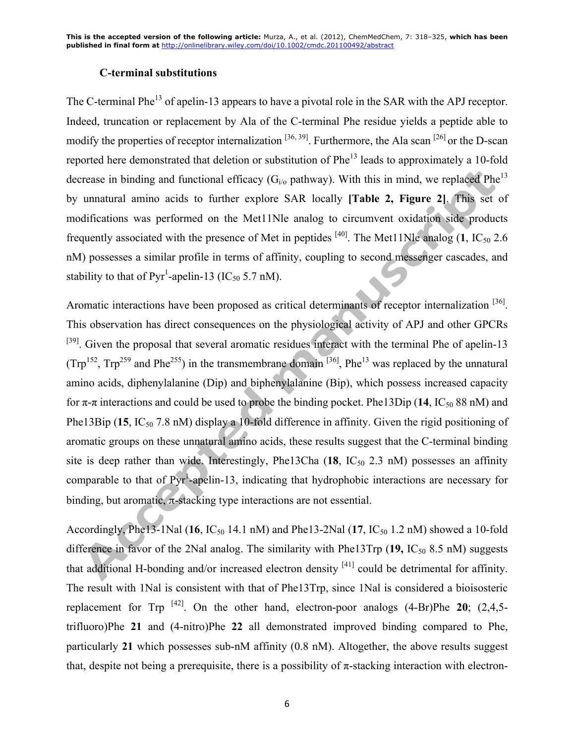#### **C-terminal substitutions**

The C-terminal Phe<sup>13</sup> of apelin-13 appears to have a pivotal role in the SAR with the APJ receptor. Indeed, truncation or replacement by Ala of the C-terminal Phe residue yields a peptide able to modify the properties of receptor internalization  $[36, 39]$ . Furthermore, the Ala scan  $[26]$  or the D-scan reported here demonstrated that deletion or substitution of Phe<sup>13</sup> leads to approximately a 10-fold decrease in binding and functional efficacy ( $G_i$ <sub>o</sub> pathway). With this in mind, we replaced Phe<sup>13</sup> by unnatural amino acids to further explore SAR locally **[Table 2, Figure 2]**. This set of modifications was performed on the Met11Nle analog to circumvent oxidation side products frequently associated with the presence of Met in peptides  $^{[40]}$ . The Met11Nle analog (1, IC<sub>50</sub> 2.6) nM) possesses a similar profile in terms of affinity, coupling to second messenger cascades, and stability to that of  $Pyr^1$ -apelin-13 (IC<sub>50</sub> 5.7 nM).

Aromatic interactions have been proposed as critical determinants of receptor internalization [36]. This observation has direct consequences on the physiological activity of APJ and other GPCRs <sup>[39]</sup>. Given the proposal that several aromatic residues interact with the terminal Phe of apelin-13  $(Trp^{152}, Trp^{259})$  and Phe<sup>255</sup>) in the transmembrane domain <sup>[36]</sup>, Phe<sup>13</sup> was replaced by the unnatural amino acids, diphenylalanine (Dip) and biphenylalanine (Bip), which possess increased capacity for π-π interactions and could be used to probe the binding pocket. Phe13Dip (14, IC<sub>50</sub> 88 nM) and Phe13Bip (15, IC<sub>50</sub> 7.8 nM) display a 10-fold difference in affinity. Given the rigid positioning of aromatic groups on these unnatural amino acids, these results suggest that the C-terminal binding site is deep rather than wide. Interestingly, Phe13Cha  $(18, 1C_{50} 2.3 \text{ nM})$  possesses an affinity comparable to that of Pyr<sup>1</sup>-apelin-13, indicating that hydrophobic interactions are necessary for binding, but aromatic, π-stacking type interactions are not essential.

Accordingly, Phe13-1Nal (16,  $IC_{50}$  14.1 nM) and Phe13-2Nal (17,  $IC_{50}$  1.2 nM) showed a 10-fold difference in favor of the 2Nal analog. The similarity with Phe13Trp (19, IC<sub>50</sub> 8.5 nM) suggests that additional H-bonding and/or increased electron density [41] could be detrimental for affinity. The result with 1Nal is consistent with that of Phe13Trp, since 1Nal is considered a bioisosteric replacement for Trp  $^{[42]}$ . On the other hand, electron-poor analogs  $(4-Br)P$ he **20**;  $(2,4,5-P)$ trifluoro)Phe **21** and (4-nitro)Phe **22** all demonstrated improved binding compared to Phe, particularly **21** which possesses sub-nM affinity (0.8 nM). Altogether, the above results suggest that, despite not being a prerequisite, there is a possibility of  $\pi$ -stacking interaction with electron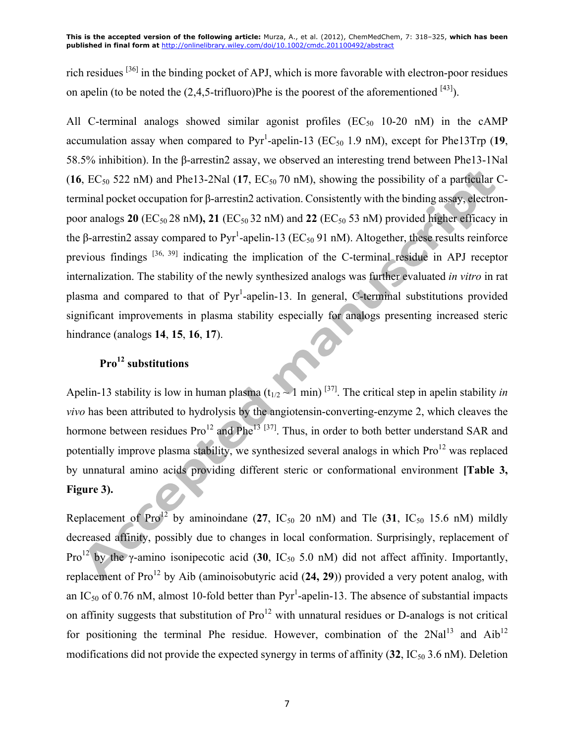rich residues [36] in the binding pocket of APJ, which is more favorable with electron-poor residues on apelin (to be noted the  $(2, 4, 5$ -trifluoro)Phe is the poorest of the aforementioned  $^{[43]}$ ).

All C-terminal analogs showed similar agonist profiles ( $EC_{50}$  10-20 nM) in the cAMP accumulation assay when compared to  $Pyr<sup>1</sup>$ -apelin-13 (EC<sub>50</sub> 1.9 nM), except for Phe13Trp (19, 58.5% inhibition). In the β-arrestin2 assay, we observed an interesting trend between Phe13-1Nal  $(16, EC_{50} 522 \text{ nM})$  and Phe13-2Nal  $(17, EC_{50} 70 \text{ nM})$ , showing the possibility of a particular Cterminal pocket occupation for β-arrestin2 activation. Consistently with the binding assay, electronpoor analogs  $20$  (EC<sub>50</sub> 28 nM),  $21$  (EC<sub>50</sub> 32 nM) and  $22$  (EC<sub>50</sub> 53 nM) provided higher efficacy in the β-arrestin2 assay compared to Pyr<sup>1</sup>-apelin-13 (EC<sub>50</sub> 91 nM). Altogether, these results reinforce previous findings [36, 39] indicating the implication of the C-terminal residue in APJ receptor internalization. The stability of the newly synthesized analogs was further evaluated *in vitro* in rat plasma and compared to that of Pyr<sup>1</sup>-apelin-13. In general, C-terminal substitutions provided significant improvements in plasma stability especially for analogs presenting increased steric hindrance (analogs **14**, **15**, **16**, **17**).

# **Pro<sup>12</sup> substitutions**

Apelin-13 stability is low in human plasma  $(t_{1/2} \sim 1 \text{ min})^{37}$ . The critical step in apelin stability *in vivo* has been attributed to hydrolysis by the angiotensin-converting-enzyme 2, which cleaves the hormone between residues  $Pro^{12}$  and  $Phe^{13}$  [37]. Thus, in order to both better understand SAR and potentially improve plasma stability, we synthesized several analogs in which  $Pro<sup>12</sup>$  was replaced by unnatural amino acids providing different steric or conformational environment **[Table 3, Figure 3).**

Replacement of  $Pro^{12}$  by aminoindane (27, IC<sub>50</sub> 20 nM) and Tle (31, IC<sub>50</sub> 15.6 nM) mildly decreased affinity, possibly due to changes in local conformation. Surprisingly, replacement of Pro<sup>12</sup> by the  $\gamma$ -amino isonipecotic acid (30, IC<sub>50</sub> 5.0 nM) did not affect affinity. Importantly, replacement of Pro<sup>12</sup> by Aib (aminoisobutyric acid (24, 29)) provided a very potent analog, with an IC<sub>50</sub> of 0.76 nM, almost 10-fold better than  $Pyr<sup>1</sup>$ -apelin-13. The absence of substantial impacts on affinity suggests that substitution of  $Pro<sup>12</sup>$  with unnatural residues or D-analogs is not critical for positioning the terminal Phe residue. However, combination of the  $2Nal<sup>13</sup>$  and  $Aib<sup>12</sup>$ modifications did not provide the expected synergy in terms of affinity (32, IC<sub>50</sub> 3.6 nM). Deletion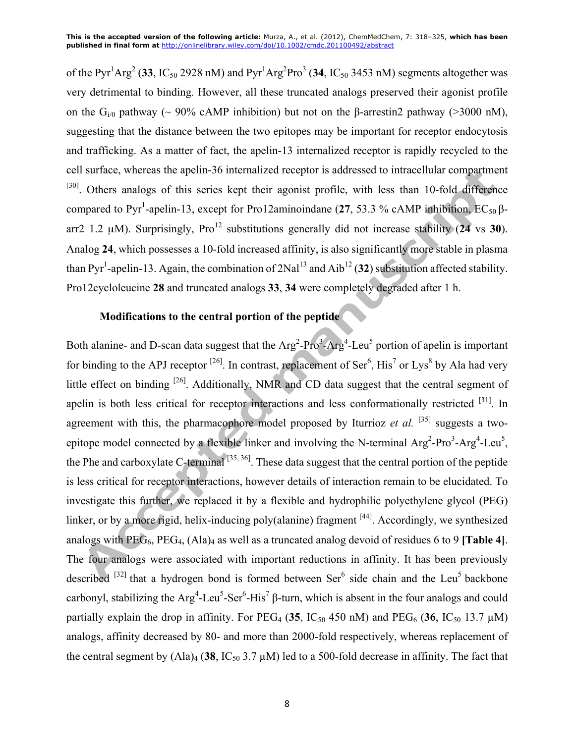of the Pyr<sup>1</sup>Arg<sup>2</sup> (33, IC<sub>50</sub> 2928 nM) and Pyr<sup>1</sup>Arg<sup>2</sup>Pro<sup>3</sup> (34, IC<sub>50</sub> 3453 nM) segments altogether was very detrimental to binding. However, all these truncated analogs preserved their agonist profile on the G<sub>i/0</sub> pathway (~ 90% cAMP inhibition) but not on the β-arrestin2 pathway (>3000 nM), suggesting that the distance between the two epitopes may be important for receptor endocytosis and trafficking. As a matter of fact, the apelin-13 internalized receptor is rapidly recycled to the cell surface, whereas the apelin-36 internalized receptor is addressed to intracellular compartment [30]. Others analogs of this series kept their agonist profile, with less than 10-fold difference compared to Pyr<sup>1</sup>-apelin-13, except for Pro12aminoindane (27, 53.3 % cAMP inhibition, EC<sub>50</sub> βarr2 1.2  $\mu$ M). Surprisingly, Pro<sup>12</sup> substitutions generally did not increase stability (24 vs 30). Analog **24**, which possesses a 10-fold increased affinity, is also significantly more stable in plasma than Pyr<sup>1</sup>-apelin-13. Again, the combination of  $2\text{Nal}^{13}$  and  $\text{Aib}^{12}$  (32) substitution affected stability. Pro12cycloleucine **28** and truncated analogs **33**, **34** were completely degraded after 1 h.

## **Modifications to the central portion of the peptide**

Both alanine- and D-scan data suggest that the  $Arg^2$ -Pro<sup>3</sup>-Arg<sup>4</sup>-Leu<sup>5</sup> portion of apelin is important for binding to the APJ receptor  $^{[26]}$ . In contrast, replacement of Ser<sup>6</sup>, His<sup>7</sup> or Lys<sup>8</sup> by Ala had very little effect on binding [26]. Additionally, NMR and CD data suggest that the central segment of apelin is both less critical for receptor interactions and less conformationally restricted <sup>[31]</sup>. In agreement with this, the pharmacophore model proposed by Iturrioz *et al.*  $[35]$  suggests a twoepitope model connected by a flexible linker and involving the N-terminal  $Arg^2$ -Pro $3$ -Arg $4$ -Leu $5$ , the Phe and carboxylate C-terminal<sup>[35, 36]</sup>. These data suggest that the central portion of the peptide is less critical for receptor interactions, however details of interaction remain to be elucidated. To investigate this further, we replaced it by a flexible and hydrophilic polyethylene glycol (PEG) linker, or by a more rigid, helix-inducing poly(alanine) fragment <sup>[44]</sup>. Accordingly, we synthesized analogs with PEG6, PEG4, (Ala)4 as well as a truncated analog devoid of residues 6 to 9 **[Table 4]**. The four analogs were associated with important reductions in affinity. It has been previously described  $[32]$  that a hydrogen bond is formed between Ser<sup>6</sup> side chain and the Leu<sup>5</sup> backbone carbonyl, stabilizing the  $Arg^4$ -Leu<sup>5</sup>-Ser<sup>6</sup>-His<sup>7</sup> β-turn, which is absent in the four analogs and could partially explain the drop in affinity. For  $PEG_4$  (35,  $IC_{50}$  450 nM) and  $PEG_6$  (36,  $IC_{50}$  13.7 µM) analogs, affinity decreased by 80- and more than 2000-fold respectively, whereas replacement of the central segment by  $(AIa)_4$  (38, IC<sub>50</sub> 3.7  $\mu$ M) led to a 500-fold decrease in affinity. The fact that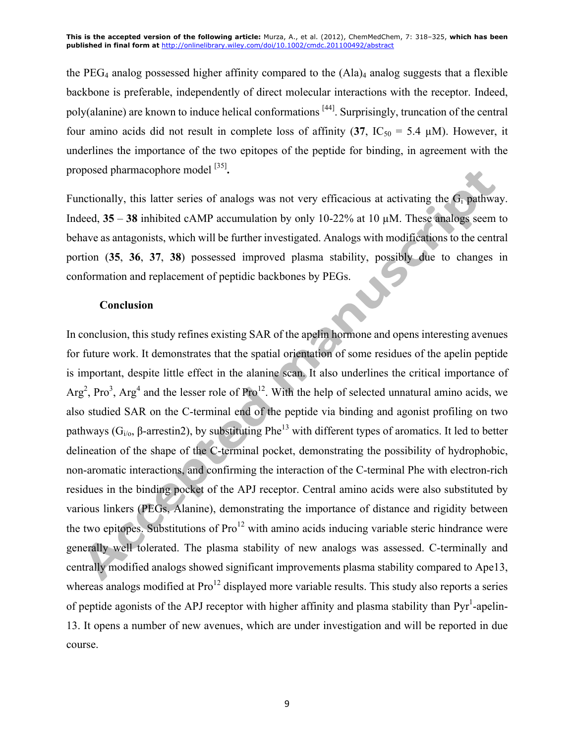the PEG<sub>4</sub> analog possessed higher affinity compared to the  $(Aa)<sub>4</sub>$  analog suggests that a flexible backbone is preferable, independently of direct molecular interactions with the receptor. Indeed, poly(alanine) are known to induce helical conformations <sup>[44]</sup>. Surprisingly, truncation of the central four amino acids did not result in complete loss of affinity  $(37, IC_{50} = 5.4 \mu M)$ . However, it underlines the importance of the two epitopes of the peptide for binding, in agreement with the proposed pharmacophore model [35] **.**

Functionally, this latter series of analogs was not very efficacious at activating the  $G_i$  pathway. Indeed, **35** – **38** inhibited cAMP accumulation by only 10-22% at 10 µM. These analogs seem to behave as antagonists, which will be further investigated. Analogs with modifications to the central portion (**35**, **36**, **37**, **38**) possessed improved plasma stability, possibly due to changes in conformation and replacement of peptidic backbones by PEGs.

#### **Conclusion**

In conclusion, this study refines existing SAR of the apelin hormone and opens interesting avenues for future work. It demonstrates that the spatial orientation of some residues of the apelin peptide is important, despite little effect in the alanine scan. It also underlines the critical importance of  $Arg<sup>2</sup>$ , Pro<sup>3</sup>, Arg<sup>4</sup> and the lesser role of Pro<sup>12</sup>. With the help of selected unnatural amino acids, we also studied SAR on the C-terminal end of the peptide via binding and agonist profiling on two pathways ( $G_{i\alpha}$ , β-arrestin2), by substituting Phe<sup>13</sup> with different types of aromatics. It led to better delineation of the shape of the C-terminal pocket, demonstrating the possibility of hydrophobic, non-aromatic interactions, and confirming the interaction of the C-terminal Phe with electron-rich residues in the binding pocket of the APJ receptor. Central amino acids were also substituted by various linkers (PEGs, Alanine), demonstrating the importance of distance and rigidity between the two epitopes. Substitutions of  $Pro^{12}$  with amino acids inducing variable steric hindrance were generally well tolerated. The plasma stability of new analogs was assessed. C-terminally and centrally modified analogs showed significant improvements plasma stability compared to Ape13, whereas analogs modified at  $Pro^{12}$  displayed more variable results. This study also reports a series of peptide agonists of the APJ receptor with higher affinity and plasma stability than Pyr<sup>1</sup>-apelin-13. It opens a number of new avenues, which are under investigation and will be reported in due course.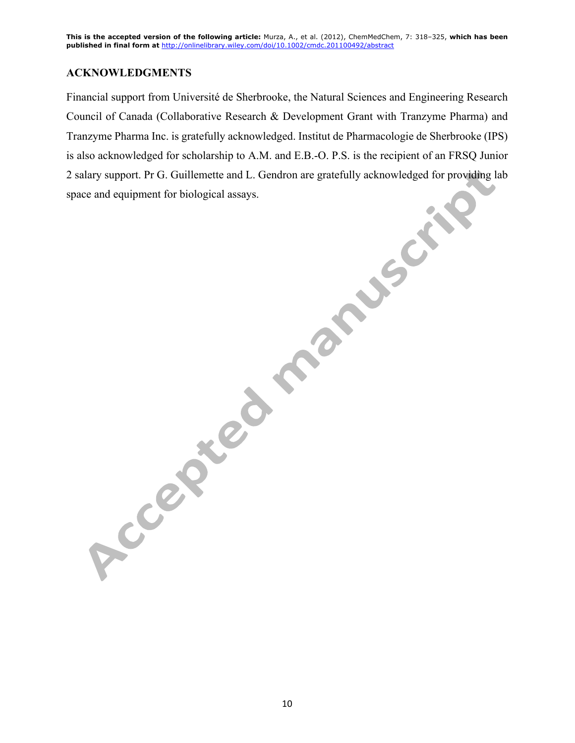### **ACKNOWLEDGMENTS**

Financial support from Université de Sherbrooke, the Natural Sciences and Engineering Research Council of Canada (Collaborative Research & Development Grant with Tranzyme Pharma) and Tranzyme Pharma Inc. is gratefully acknowledged. Institut de Pharmacologie de Sherbrooke (IPS) is also acknowledged for scholarship to A.M. and E.B.-O. P.S. is the recipient of an FRSQ Junior 2 salary support. Pr G. Guillemette and L. Gendron are gratefully acknowledged for providing lab space and equipment for biological assays.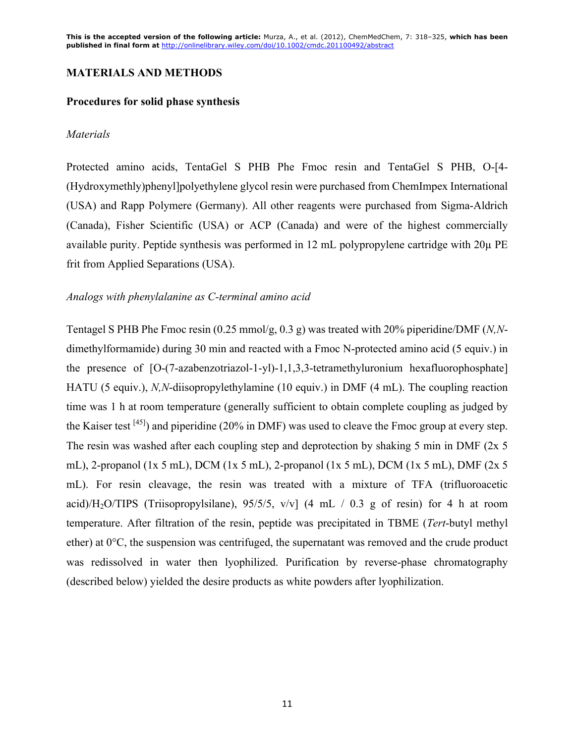### **MATERIALS AND METHODS**

#### **Procedures for solid phase synthesis**

#### *Materials*

Protected amino acids, TentaGel S PHB Phe Fmoc resin and TentaGel S PHB, O-[4- (Hydroxymethly)phenyl]polyethylene glycol resin were purchased from ChemImpex International (USA) and Rapp Polymere (Germany). All other reagents were purchased from Sigma-Aldrich (Canada), Fisher Scientific (USA) or ACP (Canada) and were of the highest commercially available purity. Peptide synthesis was performed in 12 mL polypropylene cartridge with 20µ PE frit from Applied Separations (USA).

#### *Analogs with phenylalanine as C-terminal amino acid*

Tentagel S PHB Phe Fmoc resin (0.25 mmol/g, 0.3 g) was treated with 20% piperidine/DMF (*N,N*dimethylformamide) during 30 min and reacted with a Fmoc N-protected amino acid (5 equiv.) in the presence of [O-(7-azabenzotriazol-1-yl)-1,1,3,3-tetramethyluronium hexafluorophosphate] HATU (5 equiv.), *N,N*-diisopropylethylamine (10 equiv.) in DMF (4 mL). The coupling reaction time was 1 h at room temperature (generally sufficient to obtain complete coupling as judged by the Kaiser test  $^{[45]}$ ) and piperidine (20% in DMF) was used to cleave the Fmoc group at every step. The resin was washed after each coupling step and deprotection by shaking 5 min in DMF (2x 5 mL), 2-propanol (1x 5 mL), DCM (1x 5 mL), 2-propanol (1x 5 mL), DCM (1x 5 mL), DMF (2x 5 mL). For resin cleavage, the resin was treated with a mixture of TFA (trifluoroacetic acid)/H<sub>2</sub>O/TIPS (Triisopropylsilane),  $95/5/5$ ,  $v/v$ ] (4 mL / 0.3 g of resin) for 4 h at room temperature. After filtration of the resin, peptide was precipitated in TBME (*Tert*-butyl methyl ether) at  $0^{\circ}$ C, the suspension was centrifuged, the supernatant was removed and the crude product was redissolved in water then lyophilized. Purification by reverse-phase chromatography (described below) yielded the desire products as white powders after lyophilization.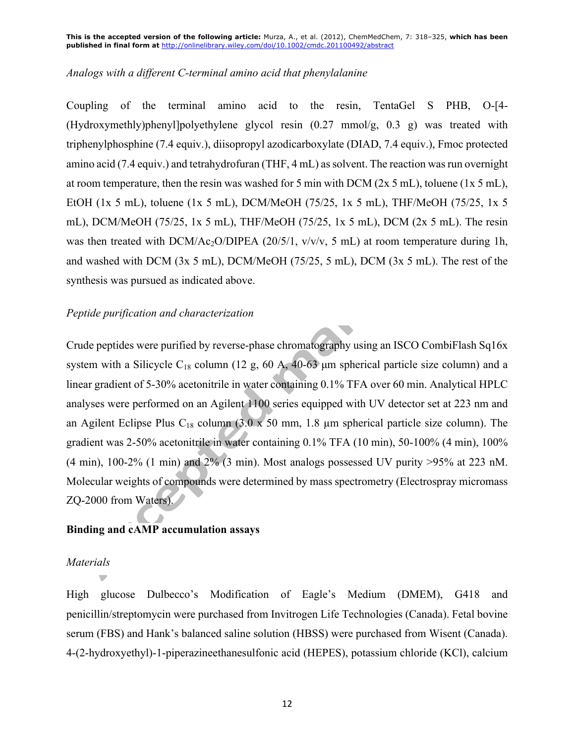#### *Analogs with a different C-terminal amino acid that phenylalanine*

Coupling of the terminal amino acid to the resin, TentaGel S PHB, O-[4- (Hydroxymethly)phenyl]polyethylene glycol resin (0.27 mmol/g, 0.3 g) was treated with triphenylphosphine (7.4 equiv.), diisopropyl azodicarboxylate (DIAD, 7.4 equiv.), Fmoc protected amino acid (7.4 equiv.) and tetrahydrofuran (THF, 4 mL) as solvent. The reaction was run overnight at room temperature, then the resin was washed for 5 min with DCM ( $2x$  5 mL), toluene ( $1x$  5 mL), EtOH (1x 5 mL), toluene (1x 5 mL), DCM/MeOH (75/25, 1x 5 mL), THF/MeOH (75/25, 1x 5 mL), DCM/MeOH (75/25, 1x 5 mL), THF/MeOH (75/25, 1x 5 mL), DCM (2x 5 mL). The resin was then treated with DCM/Ac<sub>2</sub>O/DIPEA (20/5/1, v/v/v, 5 mL) at room temperature during 1h, and washed with DCM (3x 5 mL), DCM/MeOH (75/25, 5 mL), DCM (3x 5 mL). The rest of the synthesis was pursued as indicated above.

#### *Peptide purification and characterization*

Crude peptides were purified by reverse-phase chromatography using an ISCO CombiFlash Sq16x system with a Silicycle  $C_{18}$  column (12 g, 60 A, 40-63 µm spherical particle size column) and a linear gradient of 5-30% acetonitrile in water containing 0.1% TFA over 60 min. Analytical HPLC analyses were performed on an Agilent 1100 series equipped with UV detector set at 223 nm and an Agilent Eclipse Plus C<sub>18</sub> column  $(3.0 \times 50 \text{ mm}, 1.8 \text{ }\mu\text{m}$  spherical particle size column). The gradient was 2-50% acetonitrile in water containing 0.1% TFA (10 min), 50-100% (4 min), 100% (4 min), 100-2% (1 min) and 2% (3 min). Most analogs possessed UV purity >95% at 223 nM. Molecular weights of compounds were determined by mass spectrometry (Electrospray micromass ZQ-2000 from Waters).

#### **Binding and cAMP accumulation assays**

### *Materials*

High glucose Dulbecco's Modification of Eagle's Medium (DMEM), G418 and penicillin/streptomycin were purchased from Invitrogen Life Technologies (Canada). Fetal bovine serum (FBS) and Hank's balanced saline solution (HBSS) were purchased from Wisent (Canada). 4-(2-hydroxyethyl)-1-piperazineethanesulfonic acid (HEPES), potassium chloride (KCl), calcium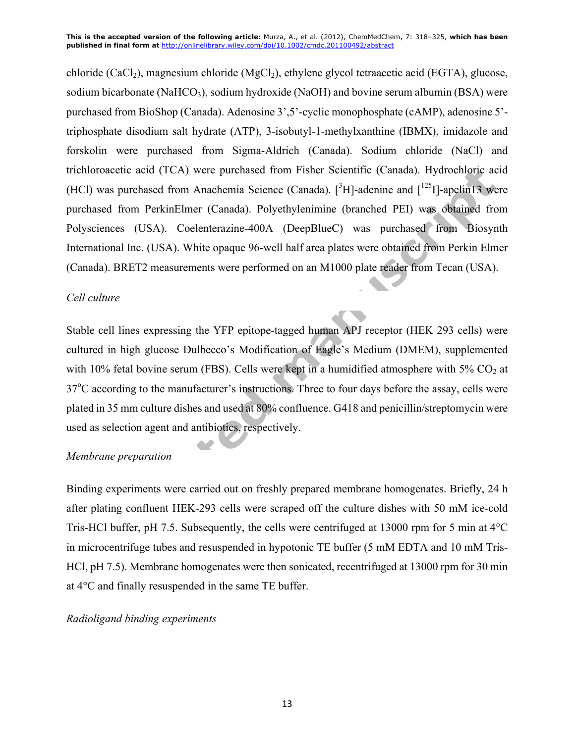chloride (CaCl<sub>2</sub>), magnesium chloride (MgCl<sub>2</sub>), ethylene glycol tetraacetic acid (EGTA), glucose, sodium bicarbonate (NaHCO<sub>3</sub>), sodium hydroxide (NaOH) and bovine serum albumin (BSA) were purchased from BioShop (Canada). Adenosine 3',5'-cyclic monophosphate (cAMP), adenosine 5' triphosphate disodium salt hydrate (ATP), 3-isobutyl-1-methylxanthine (IBMX), imidazole and forskolin were purchased from Sigma-Aldrich (Canada). Sodium chloride (NaCl) and trichloroacetic acid (TCA) were purchased from Fisher Scientific (Canada). Hydrochloric acid (HCl) was purchased from Anachemia Science (Canada). [ ${}^{3}$ H]-adenine and [ ${}^{125}$ I]-apelin13 were purchased from PerkinElmer (Canada). Polyethylenimine (branched PEI) was obtained from Polysciences (USA). Coelenterazine-400A (DeepBlueC) was purchased from Biosynth International Inc. (USA). White opaque 96-well half area plates were obtained from Perkin Elmer (Canada). BRET2 measurements were performed on an M1000 plate reader from Tecan (USA).

### *Cell culture*

Stable cell lines expressing the YFP epitope-tagged human APJ receptor (HEK 293 cells) were cultured in high glucose Dulbecco's Modification of Eagle's Medium (DMEM), supplemented with 10% fetal bovine serum (FBS). Cells were kept in a humidified atmosphere with  $5\%$  CO<sub>2</sub> at 37<sup>o</sup>C according to the manufacturer's instructions. Three to four days before the assay, cells were plated in 35 mm culture dishes and used at 80% confluence. G418 and penicillin/streptomycin were used as selection agent and antibiotics, respectively.

### *Membrane preparation*

Binding experiments were carried out on freshly prepared membrane homogenates. Briefly, 24 h after plating confluent HEK-293 cells were scraped off the culture dishes with 50 mM ice-cold Tris-HCl buffer, pH 7.5. Subsequently, the cells were centrifuged at 13000 rpm for 5 min at 4°C in microcentrifuge tubes and resuspended in hypotonic TE buffer (5 mM EDTA and 10 mM Tris-HCl, pH 7.5). Membrane homogenates were then sonicated, recentrifuged at 13000 rpm for 30 min at 4°C and finally resuspended in the same TE buffer.

### *Radioligand binding experiments*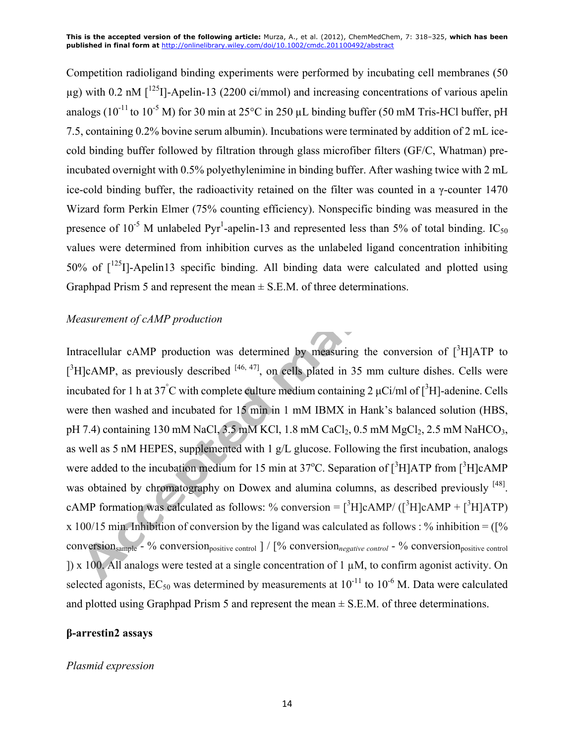Competition radioligand binding experiments were performed by incubating cell membranes (50  $\mu$ g) with 0.2 nM  $\int^{125}$ Il-Apelin-13 (2200 ci/mmol) and increasing concentrations of various apelin analogs ( $10^{-11}$  to  $10^{-5}$  M) for 30 min at 25 $^{\circ}$ C in 250 µL binding buffer (50 mM Tris-HCl buffer, pH 7.5, containing 0.2% bovine serum albumin). Incubations were terminated by addition of 2 mL icecold binding buffer followed by filtration through glass microfiber filters (GF/C, Whatman) preincubated overnight with 0.5% polyethylenimine in binding buffer. After washing twice with 2 mL ice-cold binding buffer, the radioactivity retained on the filter was counted in a  $\gamma$ -counter 1470 Wizard form Perkin Elmer (75% counting efficiency). Nonspecific binding was measured in the presence of 10<sup>-5</sup> M unlabeled Pyr<sup>1</sup>-apelin-13 and represented less than 5% of total binding. IC<sub>50</sub> values were determined from inhibition curves as the unlabeled ligand concentration inhibiting 50% of  $\lceil 1^{25} \rceil$ -Apelin13 specific binding. All binding data were calculated and plotted using Graphpad Prism 5 and represent the mean  $\pm$  S.E.M. of three determinations.

### *Measurement of cAMP production*

Intracellular cAMP production was determined by measuring the conversion of  $[^3H]$ ATP to  $[{}^{3}H]cAMP$ , as previously described  $[{}^{46, 47}]$ , on cells plated in 35 mm culture dishes. Cells were incubated for 1 h at 37°C with complete culture medium containing 2  $\mu$ Ci/ml of [<sup>3</sup>H]-adenine. Cells were then washed and incubated for 15 min in 1 mM IBMX in Hank's balanced solution (HBS, pH 7.4) containing 130 mM NaCl,  $3.5$  mM KCl, 1.8 mM CaCl<sub>2</sub>, 0.5 mM MgCl<sub>2</sub>, 2.5 mM NaHCO<sub>3</sub>, as well as 5 nM HEPES, supplemented with 1 g/L glucose. Following the first incubation, analogs were added to the incubation medium for 15 min at 37<sup>o</sup>C. Separation of  $[^3H]$ ATP from  $[^3H]$ cAMP was obtained by chromatography on Dowex and alumina columns, as described previously <sup>[48]</sup>. cAMP formation was calculated as follows: % conversion =  $[^{3}H]$ cAMP/ $([^{3}H]$ cAMP +  $[^{3}H]$ ATP) x 100/15 min. Inhibition of conversion by the ligand was calculated as follows : % inhibition =  $(1\%$ conversion<sub>sample</sub> - % conversion<sub>positive control</sub> | /  $\lceil\%$  conversion<sub>negative control</sub> - % conversion<sub>positive</sub> control ]) x 100. All analogs were tested at a single concentration of 1 µM, to confirm agonist activity. On selected agonists,  $EC_{50}$  was determined by measurements at  $10^{-11}$  to  $10^{-6}$  M. Data were calculated and plotted using Graphpad Prism 5 and represent the mean  $\pm$  S.E.M. of three determinations.

### **β-arrestin2 assays**

### *Plasmid expression*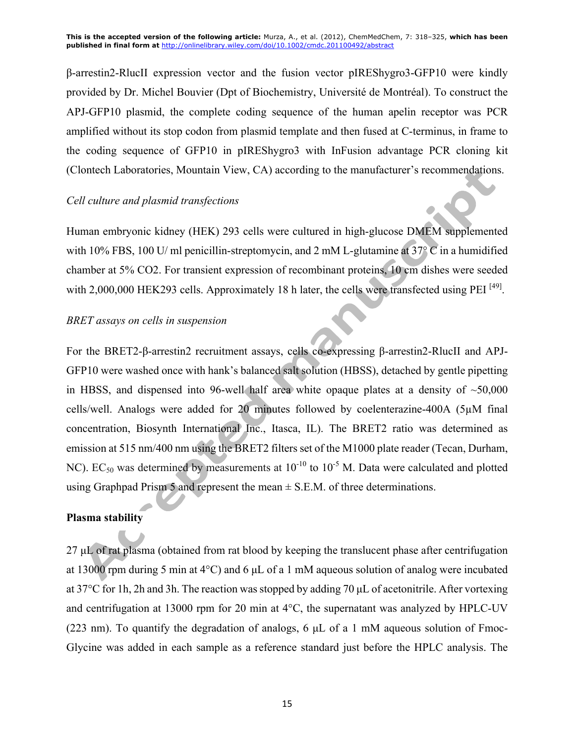β-arrestin2-RlucII expression vector and the fusion vector pIREShygro3-GFP10 were kindly provided by Dr. Michel Bouvier (Dpt of Biochemistry, Université de Montréal). To construct the APJ-GFP10 plasmid, the complete coding sequence of the human apelin receptor was PCR amplified without its stop codon from plasmid template and then fused at C-terminus, in frame to the coding sequence of GFP10 in pIREShygro3 with InFusion advantage PCR cloning kit (Clontech Laboratories, Mountain View, CA) according to the manufacturer's recommendations.

#### *Cell culture and plasmid transfections*

Human embryonic kidney (HEK) 293 cells were cultured in high-glucose DMEM supplemented with 10% FBS, 100 U/ ml penicillin-streptomycin, and 2 mM L-glutamine at 37° C in a humidified chamber at 5% CO2. For transient expression of recombinant proteins, 10 cm dishes were seeded with 2,000,000 HEK293 cells. Approximately 18 h later, the cells were transfected using PEI<sup>[49]</sup>.

#### *BRET assays on cells in suspension*

For the BRET2-β-arrestin2 recruitment assays, cells co-expressing β-arrestin2-RlucII and APJ-GFP10 were washed once with hank's balanced salt solution (HBSS), detached by gentle pipetting in HBSS, and dispensed into 96-well half area white opaque plates at a density of  $\sim$ 50,000 cells/well. Analogs were added for 20 minutes followed by coelenterazine-400A (5µM final concentration, Biosynth International Inc., Itasca, IL). The BRET2 ratio was determined as emission at 515 nm/400 nm using the BRET2 filters set of the M1000 plate reader (Tecan, Durham, NC). EC<sub>50</sub> was determined by measurements at  $10^{-10}$  to  $10^{-5}$  M. Data were calculated and plotted using Graphpad Prism 5 and represent the mean  $\pm$  S.E.M. of three determinations.

#### **Plasma stability**

27 µL of rat plasma (obtained from rat blood by keeping the translucent phase after centrifugation at 13000 rpm during 5 min at  $4^{\circ}$ C) and 6  $\mu$ L of a 1 mM aqueous solution of analog were incubated at 37°C for 1h, 2h and 3h. The reaction wasstopped by adding 70 µL of acetonitrile. After vortexing and centrifugation at 13000 rpm for 20 min at 4°C, the supernatant was analyzed by HPLC-UV (223 nm). To quantify the degradation of analogs, 6  $\mu$ L of a 1 mM aqueous solution of Fmoc-Glycine was added in each sample as a reference standard just before the HPLC analysis. The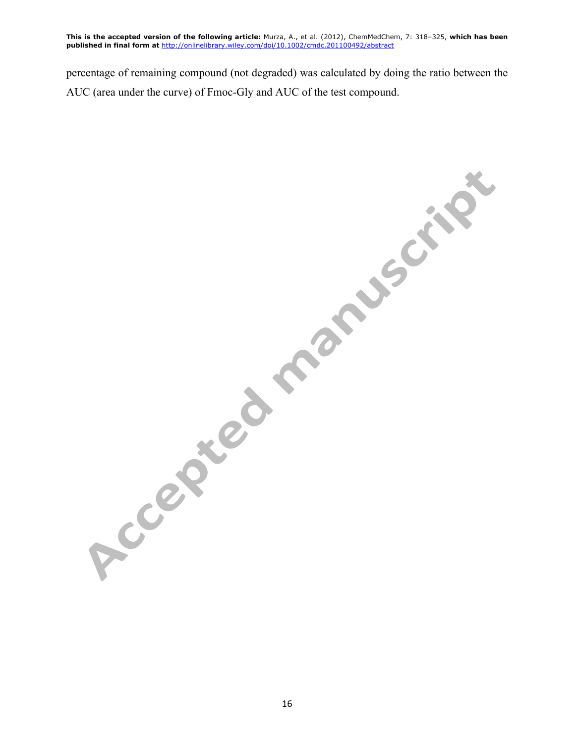percentage of remaining compound (not degraded) was calculated by doing the ratio between the AUC (area under the curve) of Fmoc-Gly and AUC of the test compound.

Accepted manuscript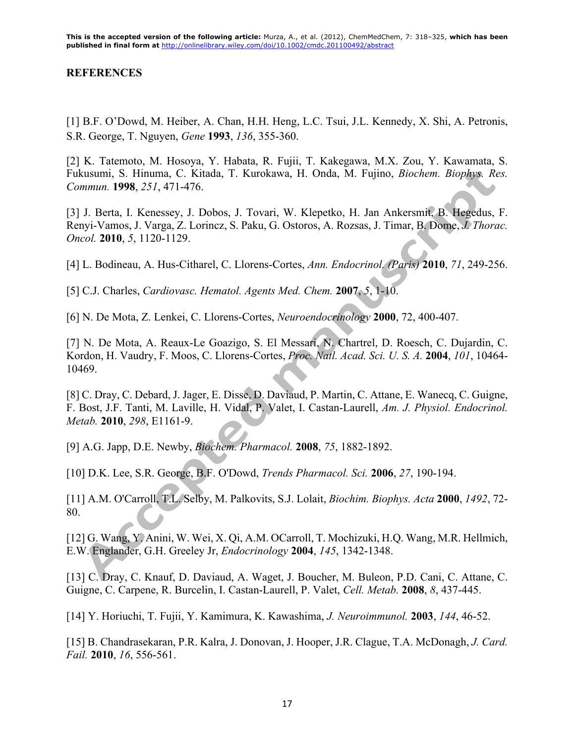### **REFERENCES**

[1] B.F. O'Dowd, M. Heiber, A. Chan, H.H. Heng, L.C. Tsui, J.L. Kennedy, X. Shi, A. Petronis, S.R. George, T. Nguyen, *Gene* **1993**, *136*, 355-360.

[2] K. Tatemoto, M. Hosoya, Y. Habata, R. Fujii, T. Kakegawa, M.X. Zou, Y. Kawamata, S. Fukusumi, S. Hinuma, C. Kitada, T. Kurokawa, H. Onda, M. Fujino, *Biochem. Biophys. Res. Commun.* **1998**, *251*, 471-476.

[3] J. Berta, I. Kenessey, J. Dobos, J. Tovari, W. Klepetko, H. Jan Ankersmit, B. Hegedus, F. Renyi-Vamos, J. Varga, Z. Lorincz, S. Paku, G. Ostoros, A. Rozsas, J. Timar, B. Dome, *J. Thorac. Oncol.* **2010**, *5*, 1120-1129.

[4] L. Bodineau, A. Hus-Citharel, C. Llorens-Cortes, *Ann. Endocrinol. (Paris)* **2010**, *71*, 249-256.

[5] C.J. Charles, *Cardiovasc. Hematol. Agents Med. Chem.* **2007**, *5*, 1-10.

[6] N. De Mota, Z. Lenkei, C. Llorens-Cortes, *Neuroendocrinology* **2000**, 72, 400-407.

[7] N. De Mota, A. Reaux-Le Goazigo, S. El Messari, N. Chartrel, D. Roesch, C. Dujardin, C. Kordon, H. Vaudry, F. Moos, C. Llorens-Cortes, *Proc. Natl. Acad. Sci. U. S. A.* **2004**, *101*, 10464- 10469.

[8] C. Dray, C. Debard, J. Jager, E. Disse, D. Daviaud, P. Martin, C. Attane, E. Wanecq, C. Guigne, F. Bost, J.F. Tanti, M. Laville, H. Vidal, P. Valet, I. Castan-Laurell, *Am. J. Physiol. Endocrinol. Metab.* **2010**, *298*, E1161-9.

[9] A.G. Japp, D.E. Newby, *Biochem. Pharmacol.* **2008**, *75*, 1882-1892.

[10] D.K. Lee, S.R. George, B.F. O'Dowd, *Trends Pharmacol. Sci.* **2006**, *27*, 190-194.

[11] A.M. O'Carroll, T.L. Selby, M. Palkovits, S.J. Lolait, *Biochim. Biophys. Acta* **2000**, *1492*, 72- 80.

[12] G. Wang, Y. Anini, W. Wei, X. Qi, A.M. OCarroll, T. Mochizuki, H.Q. Wang, M.R. Hellmich, E.W. Englander, G.H. Greeley Jr, *Endocrinology* **2004**, *145*, 1342-1348.

[13] C. Dray, C. Knauf, D. Daviaud, A. Waget, J. Boucher, M. Buleon, P.D. Cani, C. Attane, C. Guigne, C. Carpene, R. Burcelin, I. Castan-Laurell, P. Valet, *Cell. Metab.* **2008**, *8*, 437-445.

[14] Y. Horiuchi, T. Fujii, Y. Kamimura, K. Kawashima, *J. Neuroimmunol.* **2003**, *144*, 46-52.

[15] B. Chandrasekaran, P.R. Kalra, J. Donovan, J. Hooper, J.R. Clague, T.A. McDonagh, *J. Card. Fail.* **2010**, *16*, 556-561.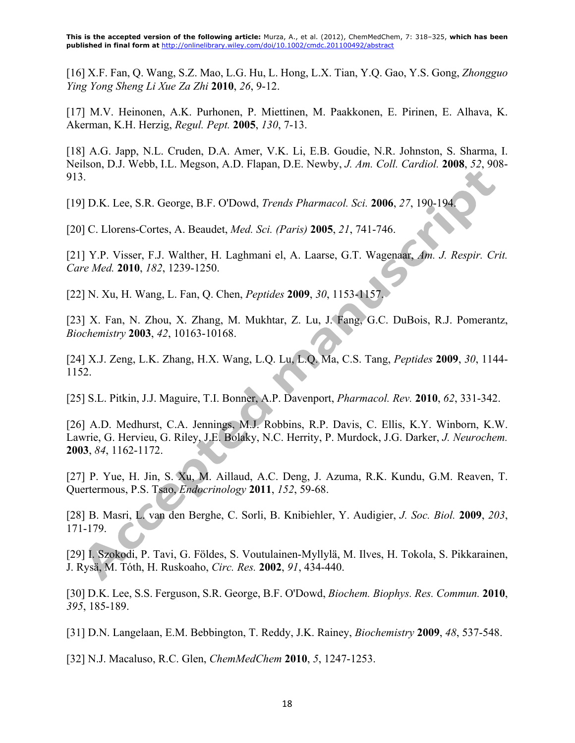[16] X.F. Fan, Q. Wang, S.Z. Mao, L.G. Hu, L. Hong, L.X. Tian, Y.Q. Gao, Y.S. Gong, *Zhongguo Ying Yong Sheng Li Xue Za Zhi* **2010**, *26*, 9-12.

[17] M.V. Heinonen, A.K. Purhonen, P. Miettinen, M. Paakkonen, E. Pirinen, E. Alhava, K. Akerman, K.H. Herzig, *Regul. Pept.* **2005**, *130*, 7-13.

[18] A.G. Japp, N.L. Cruden, D.A. Amer, V.K. Li, E.B. Goudie, N.R. Johnston, S. Sharma, I. Neilson, D.J. Webb, I.L. Megson, A.D. Flapan, D.E. Newby, *J. Am. Coll. Cardiol.* **2008**, *52*, 908- 913.

[19] D.K. Lee, S.R. George, B.F. O'Dowd, *Trends Pharmacol. Sci.* **2006**, *27*, 190-194.

[20] C. Llorens-Cortes, A. Beaudet, *Med. Sci. (Paris)* **2005**, *21*, 741-746.

[21] Y.P. Visser, F.J. Walther, H. Laghmani el, A. Laarse, G.T. Wagenaar, *Am. J. Respir. Crit. Care Med.* **2010**, *182*, 1239-1250.

[22] N. Xu, H. Wang, L. Fan, Q. Chen, *Peptides* **2009**, *30*, 1153-1157.

[23] X. Fan, N. Zhou, X. Zhang, M. Mukhtar, Z. Lu, J. Fang, G.C. DuBois, R.J. Pomerantz, *Biochemistry* **2003**, *42*, 10163-10168.

[24] X.J. Zeng, L.K. Zhang, H.X. Wang, L.Q. Lu, L.Q. Ma, C.S. Tang, *Peptides* **2009**, *30*, 1144- 1152.

[25] S.L. Pitkin, J.J. Maguire, T.I. Bonner, A.P. Davenport, *Pharmacol. Rev.* **2010**, *62*, 331-342.

[26] A.D. Medhurst, C.A. Jennings, M.J. Robbins, R.P. Davis, C. Ellis, K.Y. Winborn, K.W. Lawrie, G. Hervieu, G. Riley, J.E. Bolaky, N.C. Herrity, P. Murdock, J.G. Darker, *J. Neurochem.* **2003**, *84*, 1162-1172.

[27] P. Yue, H. Jin, S. Xu, M. Aillaud, A.C. Deng, J. Azuma, R.K. Kundu, G.M. Reaven, T. Quertermous, P.S. Tsao, *Endocrinology* **2011**, *152*, 59-68.

[28] B. Masri, L. van den Berghe, C. Sorli, B. Knibiehler, Y. Audigier, *J. Soc. Biol.* **2009**, *203*, 171-179.

[29] I. Szokodi, P. Tavi, G. Földes, S. Voutulainen-Myllylä, M. Ilves, H. Tokola, S. Pikkarainen, J. Rysä, M. Tόth, H. Ruskoaho, *Circ. Res.* **2002**, *91*, 434-440.

[30] D.K. Lee, S.S. Ferguson, S.R. George, B.F. O'Dowd, *Biochem. Biophys. Res. Commun.* **2010**, *395*, 185-189.

[31] D.N. Langelaan, E.M. Bebbington, T. Reddy, J.K. Rainey, *Biochemistry* **2009**, *48*, 537-548.

[32] N.J. Macaluso, R.C. Glen, *ChemMedChem* **2010**, *5*, 1247-1253.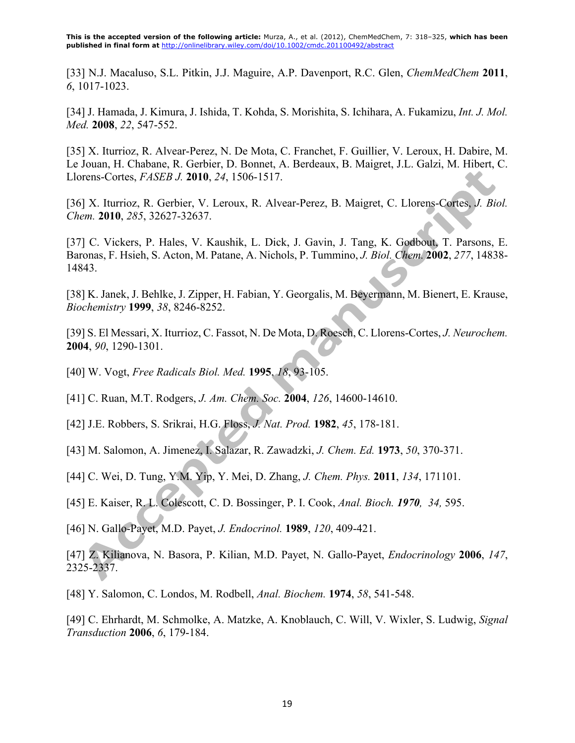[33] N.J. Macaluso, S.L. Pitkin, J.J. Maguire, A.P. Davenport, R.C. Glen, *ChemMedChem* **2011**, *6*, 1017-1023.

[34] J. Hamada, J. Kimura, J. Ishida, T. Kohda, S. Morishita, S. Ichihara, A. Fukamizu, *Int. J. Mol. Med.* **2008**, *22*, 547-552.

[35] X. Iturrioz, R. Alvear-Perez, N. De Mota, C. Franchet, F. Guillier, V. Leroux, H. Dabire, M. Le Jouan, H. Chabane, R. Gerbier, D. Bonnet, A. Berdeaux, B. Maigret, J.L. Galzi, M. Hibert, C. Llorens-Cortes, *FASEB J.* **2010**, *24*, 1506-1517.

[36] X. Iturrioz, R. Gerbier, V. Leroux, R. Alvear-Perez, B. Maigret, C. Llorens-Cortes, *J. Biol. Chem.* **2010**, *285*, 32627-32637.

[37] C. Vickers, P. Hales, V. Kaushik, L. Dick, J. Gavin, J. Tang, K. Godbout, T. Parsons, E. Baronas, F. Hsieh, S. Acton, M. Patane, A. Nichols, P. Tummino, *J. Biol. Chem.* **2002**, *277*, 14838- 14843.

[38] K. Janek, J. Behlke, J. Zipper, H. Fabian, Y. Georgalis, M. Beyermann, M. Bienert, E. Krause, *Biochemistry* **1999**, *38*, 8246-8252.

[39] S. El Messari, X. Iturrioz, C. Fassot, N. De Mota, D. Roesch, C. Llorens-Cortes, *J. Neurochem.*  **2004**, *90*, 1290-1301.

[40] W. Vogt, *Free Radicals Biol. Med.* **1995**, *18*, 93-105.

[41] C. Ruan, M.T. Rodgers, *J. Am. Chem. Soc.* **2004**, *126*, 14600-14610.

[42] J.E. Robbers, S. Srikrai, H.G. Floss, *J. Nat. Prod.* **1982**, *45*, 178-181.

[43] M. Salomon, A. Jimenez, I. Salazar, R. Zawadzki, *J. Chem. Ed.* **1973**, *50*, 370-371.

[44] C. Wei, D. Tung, Y.M. Yip, Y. Mei, D. Zhang, *J. Chem. Phys.* **2011**, *134*, 171101.

[45] E. Kaiser, R. L. Colescott, C. D. Bossinger, P. I. Cook, *Anal. Bioch. 1970, 34,* 595.

[46] N. Gallo-Payet, M.D. Payet, *J. Endocrinol.* **1989**, *120*, 409-421.

[47] Z. Kilianova, N. Basora, P. Kilian, M.D. Payet, N. Gallo-Payet, *Endocrinology* **2006**, *147*, 2325-2337.

[48] Y. Salomon, C. Londos, M. Rodbell, *Anal. Biochem.* **1974**, *58*, 541-548.

[49] C. Ehrhardt, M. Schmolke, A. Matzke, A. Knoblauch, C. Will, V. Wixler, S. Ludwig, *Signal Transduction* **2006**, *6*, 179-184.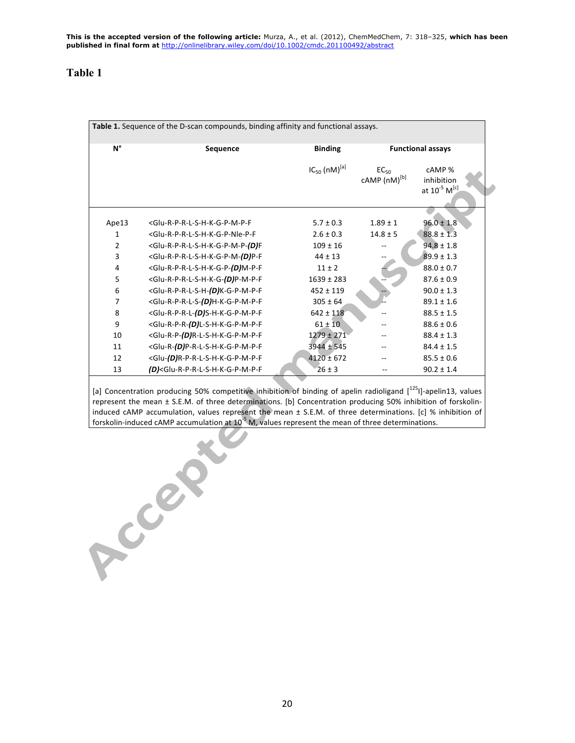| Table 1. Sequence of the D-scan compounds, binding affinity and functional assays. |                                                                                                                                                                            |                      |                                       |                                                              |  |  |  |  |  |
|------------------------------------------------------------------------------------|----------------------------------------------------------------------------------------------------------------------------------------------------------------------------|----------------------|---------------------------------------|--------------------------------------------------------------|--|--|--|--|--|
| $N^{\circ}$                                                                        | Sequence                                                                                                                                                                   | <b>Binding</b>       |                                       | <b>Functional assays</b>                                     |  |  |  |  |  |
|                                                                                    |                                                                                                                                                                            | $IC_{50} (nM)^{[a]}$ | $EC_{50}$<br>cAMP (nM) <sup>[b]</sup> | cAMP %<br>inhibition<br>at 10 <sup>-5</sup> M <sup>[c]</sup> |  |  |  |  |  |
| Ape13                                                                              | <glu-r-p-r-l-s-h-k-g-p-m-p-f< td=""><td><math>5.7 \pm 0.3</math></td><td><math>1.89 \pm 1</math></td><td><math>96.0 \pm 1.8</math></td></glu-r-p-r-l-s-h-k-g-p-m-p-f<>     | $5.7 \pm 0.3$        | $1.89 \pm 1$                          | $96.0 \pm 1.8$                                               |  |  |  |  |  |
| 1                                                                                  | <glu-r-p-r-l-s-h-k-g-p-nle-p-f< td=""><td><math>2.6 \pm 0.3</math></td><td><math>14.8 \pm 5</math></td><td><math>88.8 \pm 1.3</math></td></glu-r-p-r-l-s-h-k-g-p-nle-p-f<> | $2.6 \pm 0.3$        | $14.8 \pm 5$                          | $88.8 \pm 1.3$                                               |  |  |  |  |  |
| $\overline{2}$                                                                     | <glu-r-p-r-l-s-h-k-g-p-m-p-(d)f< td=""><td><math>109 \pm 16</math></td><td></td><td><math>94.8 \pm 1.8</math></td></glu-r-p-r-l-s-h-k-g-p-m-p-(d)f<>                       | $109 \pm 16$         |                                       | $94.8 \pm 1.8$                                               |  |  |  |  |  |
| 3                                                                                  | <glu-r-p-r-l-s-h-k-g-p-m-(d)p-f< td=""><td><math>44 \pm 13</math></td><td></td><td><math>89.9 \pm 1.3</math></td></glu-r-p-r-l-s-h-k-g-p-m-(d)p-f<>                        | $44 \pm 13$          |                                       | $89.9 \pm 1.3$                                               |  |  |  |  |  |
| 4                                                                                  | <glu-r-p-r-l-s-h-k-g-p-(d)m-p-f< td=""><td><math>11 \pm 2</math></td><td></td><td><math>88.0 \pm 0.7</math></td></glu-r-p-r-l-s-h-k-g-p-(d)m-p-f<>                         | $11 \pm 2$           |                                       | $88.0 \pm 0.7$                                               |  |  |  |  |  |
| 5                                                                                  | <glu-r-p-r-l-s-h-k-g-(d)p-m-p-f< td=""><td><math>1639 \pm 283</math></td><td></td><td><math>87.6 \pm 0.9</math></td></glu-r-p-r-l-s-h-k-g-(d)p-m-p-f<>                     | $1639 \pm 283$       |                                       | $87.6 \pm 0.9$                                               |  |  |  |  |  |
| 6                                                                                  | <glu-r-p-r-l-s-h-(d)k-g-p-m-p-f< td=""><td><math>452 \pm 119</math></td><td></td><td><math>90.0 \pm 1.3</math></td></glu-r-p-r-l-s-h-(d)k-g-p-m-p-f<>                      | $452 \pm 119$        |                                       | $90.0 \pm 1.3$                                               |  |  |  |  |  |
| $\overline{7}$                                                                     | <glu-r-p-r-l-s-(d)h-k-g-p-m-p-f< td=""><td><math>305 \pm 64</math></td><td></td><td><math>89.1 \pm 1.6</math></td></glu-r-p-r-l-s-(d)h-k-g-p-m-p-f<>                       | $305 \pm 64$         |                                       | $89.1 \pm 1.6$                                               |  |  |  |  |  |
| 8                                                                                  | <glu-r-p-r-l-(d)s-h-k-g-p-m-p-f< td=""><td><math>642 \pm 118</math></td><td></td><td><math>88.5 \pm 1.5</math></td></glu-r-p-r-l-(d)s-h-k-g-p-m-p-f<>                      | $642 \pm 118$        |                                       | $88.5 \pm 1.5$                                               |  |  |  |  |  |
| 9                                                                                  | <glu-r-p-r-(d)l-s-h-k-g-p-m-p-f< td=""><td><math>61 \pm 10</math></td><td></td><td><math>88.6 \pm 0.6</math></td></glu-r-p-r-(d)l-s-h-k-g-p-m-p-f<>                        | $61 \pm 10$          |                                       | $88.6 \pm 0.6$                                               |  |  |  |  |  |
| 10                                                                                 | <glu-r-p-(d)r-l-s-h-k-g-p-m-p-f< td=""><td><math>1279 \pm 271</math></td><td></td><td><math>88.4 \pm 1.3</math></td></glu-r-p-(d)r-l-s-h-k-g-p-m-p-f<>                     | $1279 \pm 271$       |                                       | $88.4 \pm 1.3$                                               |  |  |  |  |  |
| 11                                                                                 | <glu-r-(d)p-r-l-s-h-k-g-p-m-p-f< td=""><td><math>3944 \pm 545</math></td><td></td><td><math>84.4 \pm 1.5</math></td></glu-r-(d)p-r-l-s-h-k-g-p-m-p-f<>                     | $3944 \pm 545$       |                                       | $84.4 \pm 1.5$                                               |  |  |  |  |  |
| 12                                                                                 | <glu-(d)r-p-r-l-s-h-k-g-p-m-p-f< td=""><td><math>4120 \pm 672</math></td><td></td><td><math>85.5 \pm 0.6</math></td></glu-(d)r-p-r-l-s-h-k-g-p-m-p-f<>                     | $4120 \pm 672$       |                                       | $85.5 \pm 0.6$                                               |  |  |  |  |  |
| 13                                                                                 | (D) <glu-r-p-r-l-s-h-k-g-p-m-p-f< td=""><td><math>26 \pm 3</math></td><td></td><td><math>90.2 \pm 1.4</math></td></glu-r-p-r-l-s-h-k-g-p-m-p-f<>                           | $26 \pm 3$           |                                       | $90.2 \pm 1.4$                                               |  |  |  |  |  |

[a] Concentration producing 50% competitive inhibition of binding of apelin radioligand  $[<sup>125</sup>]$ -apelin13, values represent the mean ± S.E.M. of three determinations. [b] Concentration producing 50% inhibition of forskolininduced cAMP accumulation, values represent the mean  $\pm$  S.E.M. of three determinations. [c] % inhibition of forskolin-induced cAMP accumulation at 10<sup>-5</sup> M, values represent the mean of three determinations.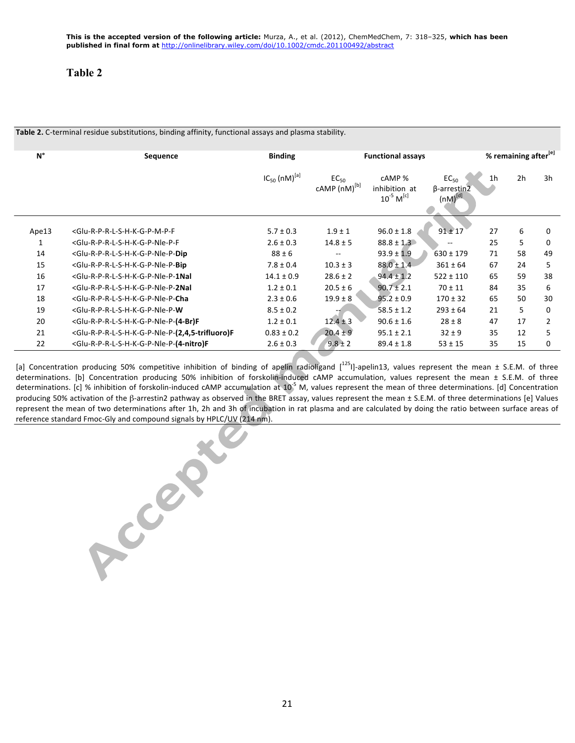| $N^{\circ}$ | <b>Sequence</b>                                                                                                                                                                                                                                                             | <b>Binding</b>       | <b>Functional assays</b>                     |                                                       |                                                                      | % remaining after <sup>[e]</sup> |    |    |
|-------------|-----------------------------------------------------------------------------------------------------------------------------------------------------------------------------------------------------------------------------------------------------------------------------|----------------------|----------------------------------------------|-------------------------------------------------------|----------------------------------------------------------------------|----------------------------------|----|----|
|             |                                                                                                                                                                                                                                                                             | $IC_{50} (nM)^{[a]}$ | EC <sub>50</sub><br>cAMP (nM) <sup>[b]</sup> | cAMP %<br>inhibition at<br>$10^{-5}$ M <sup>[c]</sup> | EC <sub>50</sub><br>$\beta$ -arrestin $\overline{2}$<br>$(nM)^{[d]}$ | 1 <sub>h</sub>                   | 2h | 3h |
| Ape13       | <glu-r-p-r-l-s-h-k-g-p-m-p-f< td=""><td><math>5.7 \pm 0.3</math></td><td><math>1.9 \pm 1</math></td><td><math>96.0 \pm 1.8</math></td><td><math>91 \pm 17</math></td><td>27</td><td>6</td><td>0</td></glu-r-p-r-l-s-h-k-g-p-m-p-f<>                                         | $5.7 \pm 0.3$        | $1.9 \pm 1$                                  | $96.0 \pm 1.8$                                        | $91 \pm 17$                                                          | 27                               | 6  | 0  |
| 1           | <glu-r-p-r-l-s-h-k-g-p-nle-p-f< td=""><td><math>2.6 \pm 0.3</math></td><td><math>14.8 \pm 5</math></td><td><math>88.8 \pm 1.3</math></td><td></td><td>25</td><td>5</td><td>0</td></glu-r-p-r-l-s-h-k-g-p-nle-p-f<>                                                          | $2.6 \pm 0.3$        | $14.8 \pm 5$                                 | $88.8 \pm 1.3$                                        |                                                                      | 25                               | 5  | 0  |
| 14          | <glu-r-p-r-l-s-h-k-g-p-nle-p-dip< td=""><td><math>88 \pm 6</math></td><td><math>- -</math></td><td><math>93.9 \pm 1.9</math></td><td><math>630 \pm 179</math></td><td>71</td><td>58</td><td>49</td></glu-r-p-r-l-s-h-k-g-p-nle-p-dip<>                                      | $88 \pm 6$           | $- -$                                        | $93.9 \pm 1.9$                                        | $630 \pm 179$                                                        | 71                               | 58 | 49 |
| 15          | <glu-r-p-r-l-s-h-k-g-p-nle-p-bip< td=""><td><math>7.8 \pm 0.4</math></td><td><math>10.3 \pm 3</math></td><td><math>88.0 \pm 1.4</math></td><td><math>361 \pm 64</math></td><td>67</td><td>24</td><td>5</td></glu-r-p-r-l-s-h-k-g-p-nle-p-bip<>                              | $7.8 \pm 0.4$        | $10.3 \pm 3$                                 | $88.0 \pm 1.4$                                        | $361 \pm 64$                                                         | 67                               | 24 | 5  |
| 16          | <glu-r-p-r-l-s-h-k-g-p-nle-p-1nal< td=""><td><math>14.1 \pm 0.9</math></td><td><math>28.6 \pm 2</math></td><td><math>94.4 \pm 1.2</math></td><td><math>522 \pm 110</math></td><td>65</td><td>59</td><td>38</td></glu-r-p-r-l-s-h-k-g-p-nle-p-1nal<>                         | $14.1 \pm 0.9$       | $28.6 \pm 2$                                 | $94.4 \pm 1.2$                                        | $522 \pm 110$                                                        | 65                               | 59 | 38 |
| 17          | <glu-r-p-r-l-s-h-k-g-p-nle-p-2nal< td=""><td><math>1.2 \pm 0.1</math></td><td><math>20.5 \pm 6</math></td><td><math>90.7 \pm 2.1</math></td><td><math>70 \pm 11</math></td><td>84</td><td>35</td><td>6</td></glu-r-p-r-l-s-h-k-g-p-nle-p-2nal<>                             | $1.2 \pm 0.1$        | $20.5 \pm 6$                                 | $90.7 \pm 2.1$                                        | $70 \pm 11$                                                          | 84                               | 35 | 6  |
| 18          | <glu-r-p-r-l-s-h-k-g-p-nle-p-cha< td=""><td><math>2.3 \pm 0.6</math></td><td><math>19.9 \pm 8</math></td><td><math>95.2 \pm 0.9</math></td><td><math>170 \pm 32</math></td><td>65</td><td>50</td><td>30</td></glu-r-p-r-l-s-h-k-g-p-nle-p-cha<>                             | $2.3 \pm 0.6$        | $19.9 \pm 8$                                 | $95.2 \pm 0.9$                                        | $170 \pm 32$                                                         | 65                               | 50 | 30 |
| 19          | <glu-r-p-r-l-s-h-k-g-p-nle-p-w< td=""><td><math>8.5 \pm 0.2</math></td><td></td><td><math>58.5 \pm 1.2</math></td><td><math>293 \pm 64</math></td><td>21</td><td>5</td><td>0</td></glu-r-p-r-l-s-h-k-g-p-nle-p-w<>                                                          | $8.5 \pm 0.2$        |                                              | $58.5 \pm 1.2$                                        | $293 \pm 64$                                                         | 21                               | 5  | 0  |
| 20          | <glu-r-p-r-l-s-h-k-g-p-nle-p-(4-br)f< td=""><td><math>1.2 \pm 0.1</math></td><td><math>12.4 \pm 3</math></td><td><math>90.6 \pm 1.6</math></td><td><math>28 \pm 8</math></td><td>47</td><td>17</td><td>2</td></glu-r-p-r-l-s-h-k-g-p-nle-p-(4-br)f<>                        | $1.2 \pm 0.1$        | $12.4 \pm 3$                                 | $90.6 \pm 1.6$                                        | $28 \pm 8$                                                           | 47                               | 17 | 2  |
| 21          | <glu-r-p-r-l-s-h-k-g-p-nle-p-(2,4,5-trifluoro)f< td=""><td><math>0.83 \pm 0.2</math></td><td><math>20.4 \pm 9</math></td><td><math>95.1 \pm 2.1</math></td><td><math>32 \pm 9</math></td><td>35</td><td>12</td><td>5</td></glu-r-p-r-l-s-h-k-g-p-nle-p-(2,4,5-trifluoro)f<> | $0.83 \pm 0.2$       | $20.4 \pm 9$                                 | $95.1 \pm 2.1$                                        | $32 \pm 9$                                                           | 35                               | 12 | 5  |
| 22          | <glu-r-p-r-l-s-h-k-g-p-nle-p-(4-nitro)f< td=""><td><math>2.6 \pm 0.3</math></td><td><math>9.8 \pm 2</math></td><td><math>89.4 \pm 1.8</math></td><td><math>53 \pm 15</math></td><td>35</td><td>15</td><td>0</td></glu-r-p-r-l-s-h-k-g-p-nle-p-(4-nitro)f<>                  | $2.6 \pm 0.3$        | $9.8 \pm 2$                                  | $89.4 \pm 1.8$                                        | $53 \pm 15$                                                          | 35                               | 15 | 0  |

Table 2. C-terminal residue substitutions, binding affinity, functional assays and plasma stability.

[a] Concentration producing 50% competitive inhibition of binding of apelin radioligand  $[1^{25}1]$ -apelin13, values represent the mean ± S.E.M. of three determinations. [b] Concentration producing 50% inhibition of forskolin-induced cAMP accumulation, values represent the mean ± S.E.M. of three determinations. [c] % inhibition of forskolin-induced cAMP accumulation at  $10^{-5}$  M, values represent the mean of three determinations. [d] Concentration producing 50% activation of the  $\beta$ -arrestin2 pathway as observed in the BRET assay, values represent the mean ± S.E.M. of three determinations [e] Values represent the mean of two determinations after 1h, 2h and 3h of incubation in rat plasma and are calculated by doing the ratio between surface areas of reference standard Fmoc-Gly and compound signals by HPLC/UV (214 nm).

Accepted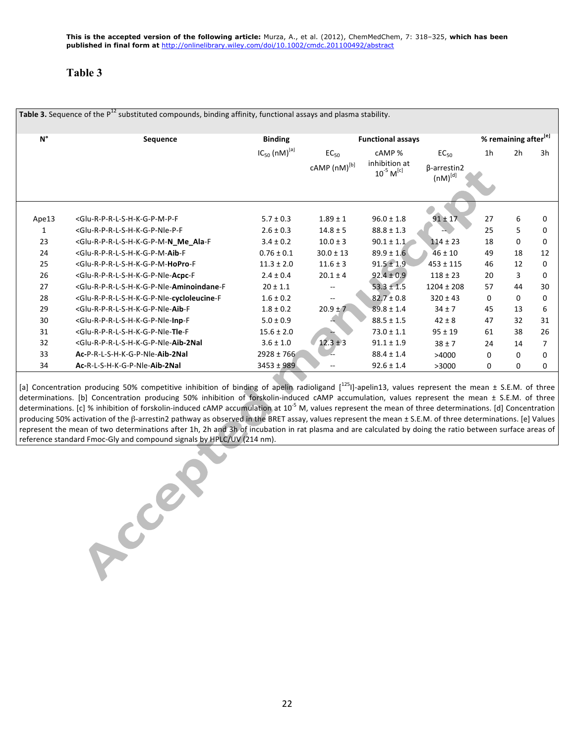| rable 5. Sequence of the PT substituted compounds, binding annihity, functional assays and plasma stability. I |                                                                                                                                                                                                                                                                                             |                      |                                                              |                                             |                                    |                |                |          |  |
|----------------------------------------------------------------------------------------------------------------|---------------------------------------------------------------------------------------------------------------------------------------------------------------------------------------------------------------------------------------------------------------------------------------------|----------------------|--------------------------------------------------------------|---------------------------------------------|------------------------------------|----------------|----------------|----------|--|
| $N^{\circ}$                                                                                                    | Sequence                                                                                                                                                                                                                                                                                    | <b>Binding</b>       | % remaining after <sup>[e]</sup><br><b>Functional assays</b> |                                             |                                    |                |                |          |  |
|                                                                                                                |                                                                                                                                                                                                                                                                                             | $IC_{50} (nM)^{[a]}$ | $EC_{50}$                                                    | cAMP %                                      | $EC_{50}$                          | 1 <sub>h</sub> | 2 <sub>h</sub> | 3h       |  |
|                                                                                                                |                                                                                                                                                                                                                                                                                             |                      | cAMP (nM) <sup>[b]</sup>                                     | inhibition at<br>$10^{-5}$ M <sup>[c]</sup> | $\beta$ -arrestin2<br>$(nM)^{[d]}$ |                |                |          |  |
|                                                                                                                |                                                                                                                                                                                                                                                                                             |                      |                                                              |                                             |                                    |                |                |          |  |
| Ape13                                                                                                          | <glu-r-p-r-l-s-h-k-g-p-m-p-f< td=""><td><math>5.7 \pm 0.3</math></td><td><math>1.89 \pm 1</math></td><td><math>96.0 \pm 1.8</math></td><td><math>91 \pm 17</math></td><td>27</td><td>6</td><td>0</td></glu-r-p-r-l-s-h-k-g-p-m-p-f<>                                                        | $5.7 \pm 0.3$        | $1.89 \pm 1$                                                 | $96.0 \pm 1.8$                              | $91 \pm 17$                        | 27             | 6              | 0        |  |
| 1                                                                                                              | <glu-r-p-r-l-s-h-k-g-p-nle-p-f< td=""><td><math>2.6 \pm 0.3</math></td><td><math>14.8 \pm 5</math></td><td><math>88.8 \pm 1.3</math></td><td></td><td>25</td><td>5</td><td>0</td></glu-r-p-r-l-s-h-k-g-p-nle-p-f<>                                                                          | $2.6 \pm 0.3$        | $14.8 \pm 5$                                                 | $88.8 \pm 1.3$                              |                                    | 25             | 5              | 0        |  |
| 23                                                                                                             | <glu-r-p-r-l-s-h-k-g-p-m-n ala-f<="" me="" td=""><td><math>3.4 \pm 0.2</math></td><td><math>10.0 \pm 3</math></td><td><math>90.1 \pm 1.1</math></td><td><math>114 \pm 23</math></td><td>18</td><td>0</td><td>0</td></glu-r-p-r-l-s-h-k-g-p-m-n>                                             | $3.4 \pm 0.2$        | $10.0 \pm 3$                                                 | $90.1 \pm 1.1$                              | $114 \pm 23$                       | 18             | 0              | 0        |  |
| 24                                                                                                             | <glu-r-p-r-l-s-h-k-g-p-m-aib-f< td=""><td><math>0.76 \pm 0.1</math></td><td><math>30.0 \pm 13</math></td><td><math>89.9 \pm 1.6</math></td><td><math>46 \pm 10</math></td><td>49</td><td>18</td><td>12</td></glu-r-p-r-l-s-h-k-g-p-m-aib-f<>                                                | $0.76 \pm 0.1$       | $30.0 \pm 13$                                                | $89.9 \pm 1.6$                              | $46 \pm 10$                        | 49             | 18             | 12       |  |
| 25                                                                                                             | <glu-r-p-r-l-s-h-k-g-p-m-hopro-f< td=""><td><math>11.3 \pm 2.0</math></td><td><math>11.6 \pm 3</math></td><td><math>91.5 \pm 1.9</math></td><td><math>453 \pm 115</math></td><td>46</td><td>12</td><td><math>\Omega</math></td></glu-r-p-r-l-s-h-k-g-p-m-hopro-f<>                          | $11.3 \pm 2.0$       | $11.6 \pm 3$                                                 | $91.5 \pm 1.9$                              | $453 \pm 115$                      | 46             | 12             | $\Omega$ |  |
| 26                                                                                                             | <glu-r-p-r-l-s-h-k-g-p-nle-acpc-f< td=""><td><math>2.4 \pm 0.4</math></td><td><math>20.1 \pm 4</math></td><td><math>92.4 \pm 0.9</math></td><td><math>118 \pm 23</math></td><td>20</td><td>3</td><td>0</td></glu-r-p-r-l-s-h-k-g-p-nle-acpc-f<>                                             | $2.4 \pm 0.4$        | $20.1 \pm 4$                                                 | $92.4 \pm 0.9$                              | $118 \pm 23$                       | 20             | 3              | 0        |  |
| 27                                                                                                             | <glu-r-p-r-l-s-h-k-g-p-nle-aminoindane-f< td=""><td><math>20 \pm 1.1</math></td><td></td><td><math>53.3 \pm 1.5</math></td><td><math>1204 \pm 208</math></td><td>57</td><td>44</td><td>30</td></glu-r-p-r-l-s-h-k-g-p-nle-aminoindane-f<>                                                   | $20 \pm 1.1$         |                                                              | $53.3 \pm 1.5$                              | $1204 \pm 208$                     | 57             | 44             | 30       |  |
| 28                                                                                                             | <glu-r-p-r-l-s-h-k-g-p-nle-cycloleucine-f< td=""><td><math>1.6 \pm 0.2</math></td><td><math display="inline">\overline{\phantom{a}}</math></td><td><math>82.7 \pm 0.8</math></td><td><math>320 \pm 43</math></td><td>0</td><td>0</td><td>0</td></glu-r-p-r-l-s-h-k-g-p-nle-cycloleucine-f<> | $1.6 \pm 0.2$        | $\overline{\phantom{a}}$                                     | $82.7 \pm 0.8$                              | $320 \pm 43$                       | 0              | 0              | 0        |  |
| 29                                                                                                             | <glu-r-p-r-l-s-h-k-g-p-nle-aib-f< td=""><td><math>1.8 \pm 0.2</math></td><td><math>20.9 \pm 7</math></td><td><math>89.8 \pm 1.4</math></td><td><math>34 \pm 7</math></td><td>45</td><td>13</td><td>6</td></glu-r-p-r-l-s-h-k-g-p-nle-aib-f<>                                                | $1.8 \pm 0.2$        | $20.9 \pm 7$                                                 | $89.8 \pm 1.4$                              | $34 \pm 7$                         | 45             | 13             | 6        |  |
| 30                                                                                                             | <glu-r-p-r-l-s-h-k-g-p-nle-inp-f< td=""><td><math>5.0 \pm 0.9</math></td><td></td><td><math>88.5 \pm 1.5</math></td><td><math>42 \pm 8</math></td><td>47</td><td>32</td><td>31</td></glu-r-p-r-l-s-h-k-g-p-nle-inp-f<>                                                                      | $5.0 \pm 0.9$        |                                                              | $88.5 \pm 1.5$                              | $42 \pm 8$                         | 47             | 32             | 31       |  |
| 31                                                                                                             | <glu-r-p-r-l-s-h-k-g-p-nle-tle-f< td=""><td><math>15.6 \pm 2.0</math></td><td></td><td><math>73.0 \pm 1.1</math></td><td><math>95 \pm 19</math></td><td>61</td><td>38</td><td>26</td></glu-r-p-r-l-s-h-k-g-p-nle-tle-f<>                                                                    | $15.6 \pm 2.0$       |                                                              | $73.0 \pm 1.1$                              | $95 \pm 19$                        | 61             | 38             | 26       |  |
| 32                                                                                                             | <glu-r-p-r-l-s-h-k-g-p-nle-aib-2nal< td=""><td><math>3.6 \pm 1.0</math></td><td><math>12.3 \pm 3</math></td><td><math>91.1 \pm 1.9</math></td><td><math>38 \pm 7</math></td><td>24</td><td>14</td><td>7</td></glu-r-p-r-l-s-h-k-g-p-nle-aib-2nal<>                                          | $3.6 \pm 1.0$        | $12.3 \pm 3$                                                 | $91.1 \pm 1.9$                              | $38 \pm 7$                         | 24             | 14             | 7        |  |
| 33                                                                                                             | Ac-P-R-L-S-H-K-G-P-Nle-Aib-2Nal                                                                                                                                                                                                                                                             | $2928 \pm 766$       |                                                              | $88.4 \pm 1.4$                              | >4000                              | $\Omega$       | $\mathbf{0}$   | 0        |  |
| 34                                                                                                             | Ac-R-L-S-H-K-G-P-Nle-Aib-2Nal                                                                                                                                                                                                                                                               | $3453 \pm 989$       |                                                              | $92.6 \pm 1.4$                              | >3000                              | 0              | $\Omega$       | 0        |  |

**Table 3.** Sequence of the P<sup>12</sup> substituted compounds, binding affinity, functional assays and plasma stability.

[a] Concentration producing 50% competitive inhibition of binding of apelin radioligand  $[<sup>125</sup>]$ -apelin13, values represent the mean  $\pm$  S.E.M. of three determinations. [b] Concentration producing 50% inhibition of forskolin-induced cAMP accumulation, values represent the mean ± S.E.M. of three determinations. [c] % inhibition of forskolin-induced cAMP accumulation at 10<sup>-5</sup> M, values represent the mean of three determinations. [d] Concentration producing 50% activation of the β-arrestin2 pathway as observed in the BRET assay, values represent the mean ± S.E.M. of three determinations. [e] Values represent the mean of two determinations after 1h, 2h and 3h of incubation in rat plasma and are calculated by doing the ratio between surface areas of reference standard Fmoc-Gly and compound signals by HPLC/UV (214 nm).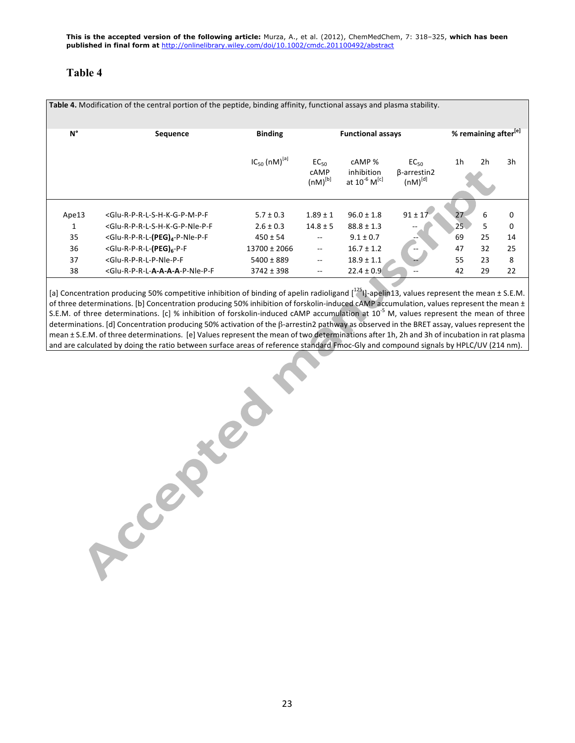| Table 4. Modification of the central portion of the peptide, binding affinity, functional assays and plasma stability. |                                                                                                                                                                                                                                                                                                                                                                                                                                                      |                                |                                          |                                                              |                                                 |                       |                |                  |  |  |
|------------------------------------------------------------------------------------------------------------------------|------------------------------------------------------------------------------------------------------------------------------------------------------------------------------------------------------------------------------------------------------------------------------------------------------------------------------------------------------------------------------------------------------------------------------------------------------|--------------------------------|------------------------------------------|--------------------------------------------------------------|-------------------------------------------------|-----------------------|----------------|------------------|--|--|
| $N^{\circ}$                                                                                                            | <b>Sequence</b>                                                                                                                                                                                                                                                                                                                                                                                                                                      | <b>Binding</b>                 | <b>Functional assays</b>                 |                                                              | % remaining after <sup>[e]</sup>                |                       |                |                  |  |  |
|                                                                                                                        |                                                                                                                                                                                                                                                                                                                                                                                                                                                      | $IC_{50}$ (nM) <sup>[a]</sup>  | EC <sub>50</sub><br>cAMP<br>$(nM)^{[b]}$ | cAMP %<br>inhibition<br>at 10 <sup>-6</sup> M <sup>[c]</sup> | $EC_{50}$<br>$\beta$ -arrestin2<br>$(nM)^{[d]}$ | 1h                    | 2 <sub>h</sub> | 3h               |  |  |
| Ape13<br>1                                                                                                             | <glu-r-p-r-l-s-h-k-g-p-m-p-f<br><glu-r-p-r-l-s-h-k-g-p-nle-p-f< td=""><td><math>5.7 \pm 0.3</math><br/><math>2.6 \pm 0.3</math></td><td><math>1.89 \pm 1</math><br/><math>14.8 \pm 5</math></td><td><math>96.0 \pm 1.8</math><br/><math>88.8 \pm 1.3</math></td><td><math>91 \pm 17</math></td><td>27<br/>25<sub>1</sub></td><td>6<br/>5</td><td>0<br/><math>\mathbf 0</math></td></glu-r-p-r-l-s-h-k-g-p-nle-p-f<></glu-r-p-r-l-s-h-k-g-p-m-p-f<br> | $5.7 \pm 0.3$<br>$2.6 \pm 0.3$ | $1.89 \pm 1$<br>$14.8 \pm 5$             | $96.0 \pm 1.8$<br>$88.8 \pm 1.3$                             | $91 \pm 17$                                     | 27<br>25 <sub>1</sub> | 6<br>5         | 0<br>$\mathbf 0$ |  |  |
| 35                                                                                                                     | <glu-r-p-r-l-(peg)<sub>4-P-Nle-P-F</glu-r-p-r-l-(peg)<sub>                                                                                                                                                                                                                                                                                                                                                                                           | $450 \pm 54$                   | $- -$                                    | $9.1 \pm 0.7$                                                |                                                 | 69                    | 25             | 14               |  |  |
| 36                                                                                                                     | <glu-r-p-r-l-(peg)<sub>6-P-F</glu-r-p-r-l-(peg)<sub>                                                                                                                                                                                                                                                                                                                                                                                                 | 13700 ± 2066                   | $\overline{\phantom{m}}$                 | $16.7 \pm 1.2$                                               |                                                 | 47                    | 32             | 25               |  |  |
| 37                                                                                                                     | <glu-r-p-r-l-p-nle-p-f< td=""><td><math>5400 \pm 889</math></td><td><math>- -</math></td><td><math>18.9 \pm 1.1</math></td><td></td><td>55</td><td>23</td><td>8</td></glu-r-p-r-l-p-nle-p-f<>                                                                                                                                                                                                                                                        | $5400 \pm 889$                 | $- -$                                    | $18.9 \pm 1.1$                                               |                                                 | 55                    | 23             | 8                |  |  |
| 38                                                                                                                     | <glu-r-p-r-l-a-a-a-a-p-nle-p-f< td=""><td><math>3742 \pm 398</math></td><td><math display="inline">- -</math></td><td><math>22.4 \pm 0.9</math></td><td></td><td>42</td><td>29</td><td>22</td></glu-r-p-r-l-a-a-a-a-p-nle-p-f<>                                                                                                                                                                                                                      | $3742 \pm 398$                 | $- -$                                    | $22.4 \pm 0.9$                                               |                                                 | 42                    | 29             | 22               |  |  |

[a] Concentration producing 50% competitive inhibition of binding of apelin radioligand  $[1^{25}]$ -apelin13, values represent the mean ± S.E.M. of three determinations. [b] Concentration producing 50% inhibition of forskolin-induced cAMP accumulation, values represent the mean ± S.E.M. of three determinations. [c] % inhibition of forskolin-induced cAMP accumulation at  $10^{-5}$  M, values represent the mean of three determinations. [d] Concentration producing 50% activation of the β-arrestin2 pathway as observed in the BRET assay, values represent the mean ± S.E.M. of three determinations. [e] Values represent the mean of two determinations after 1h, 2h and 3h of incubation in rat plasma and are calculated by doing the ratio between surface areas of reference standard Fmoc-Gly and compound signals by HPLC/UV (214 nm).

23